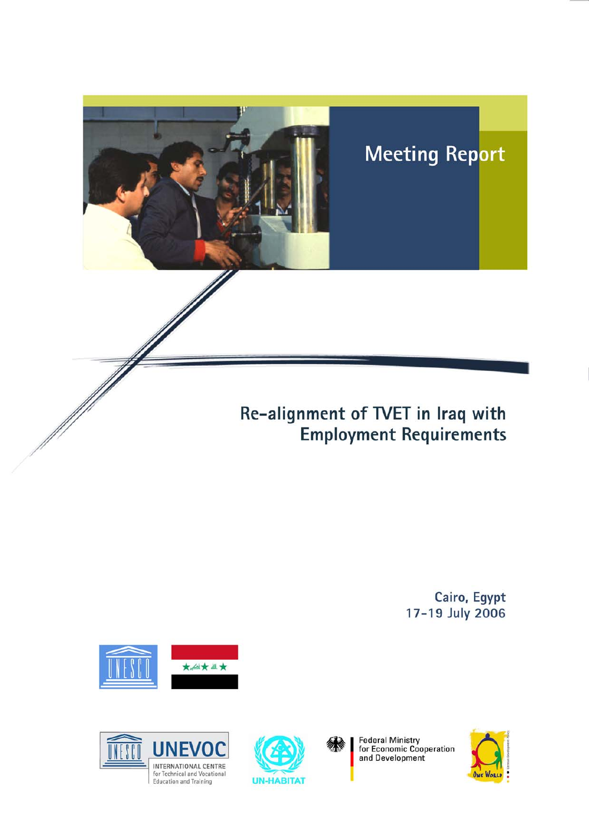

Cairo, Egypt 17-19 July 2006









Federal Ministry<br>for Economic Cooperation<br>and Development

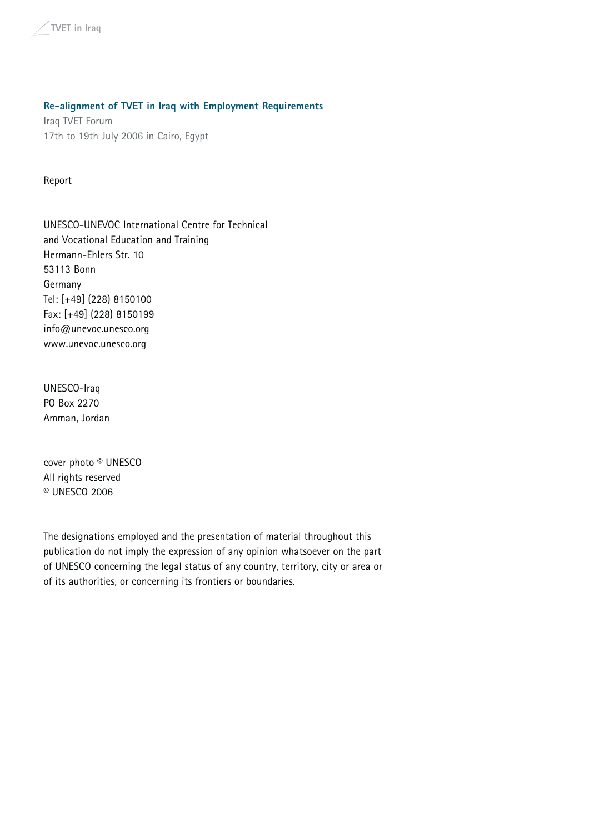#### **Re-alignment of TVET in Iraq with Employment Requirements**

Iraq TVET Forum 17th to 19th July 2006 in Cairo, Egypt

#### Report

UNESCO-UNEVOC International Centre for Technical and Vocational Education and Training Hermann-Ehlers Str. 10 53113 Bonn Germany Tel: [+49] (228) 8150100 Fax: [+49] (228) 8150199 info@unevoc.unesco.org www.unevoc.unesco.org

UNESCO-Iraq PO Box 2270 Amman, Jordan

cover photo © UNESCO All rights reserved © UNESCO 2006

The designations employed and the presentation of material throughout this publication do not imply the expression of any opinion whatsoever on the part of UNESCO concerning the legal status of any country, territory, city or area or of its authorities, or concerning its frontiers or boundaries.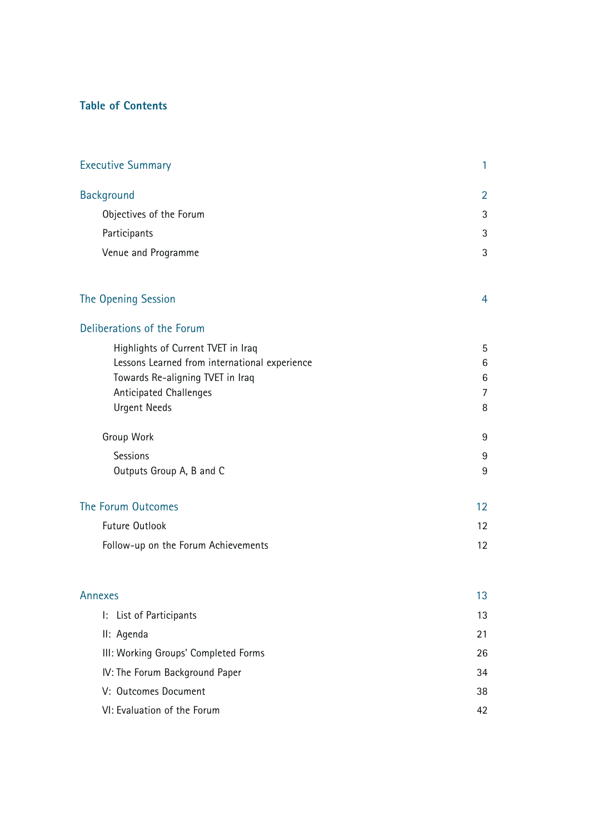## **Table of Contents**

| <b>Executive Summary</b>                      | 1                   |
|-----------------------------------------------|---------------------|
| <b>Background</b>                             | $\overline{2}$      |
| Objectives of the Forum                       | 3                   |
| Participants                                  | 3                   |
| Venue and Programme                           | 3                   |
| <b>The Opening Session</b>                    | $\overline{4}$      |
| Deliberations of the Forum                    |                     |
| Highlights of Current TVET in Iraq            | 5                   |
| Lessons Learned from international experience | 6                   |
| Towards Re-aligning TVET in Iraq              | 6<br>$\overline{7}$ |
| Anticipated Challenges<br><b>Urgent Needs</b> | 8                   |
| Group Work                                    | 9                   |
| Sessions                                      | 9                   |
| Outputs Group A, B and C                      | 9                   |
| The Forum Outcomes                            | 12                  |
| <b>Future Outlook</b>                         | 12                  |
| Follow-up on the Forum Achievements           | 12                  |
| Annexes                                       | 13                  |
| I: List of Participants                       | 13                  |
| II: Agenda                                    | 21                  |
| III: Working Groups' Completed Forms          | 26                  |
| IV: The Forum Background Paper                | 34                  |
| V: Outcomes Document                          | 38                  |
| VI: Evaluation of the Forum                   | 42                  |
|                                               |                     |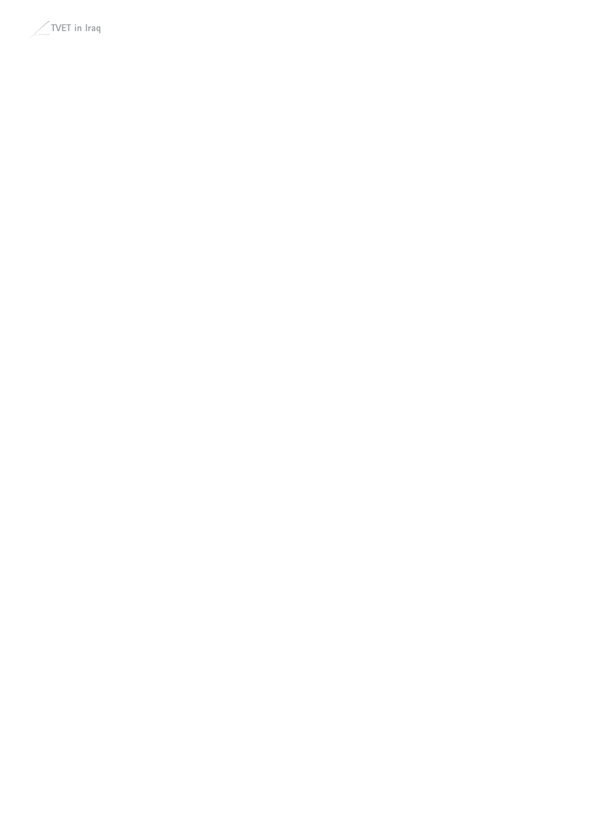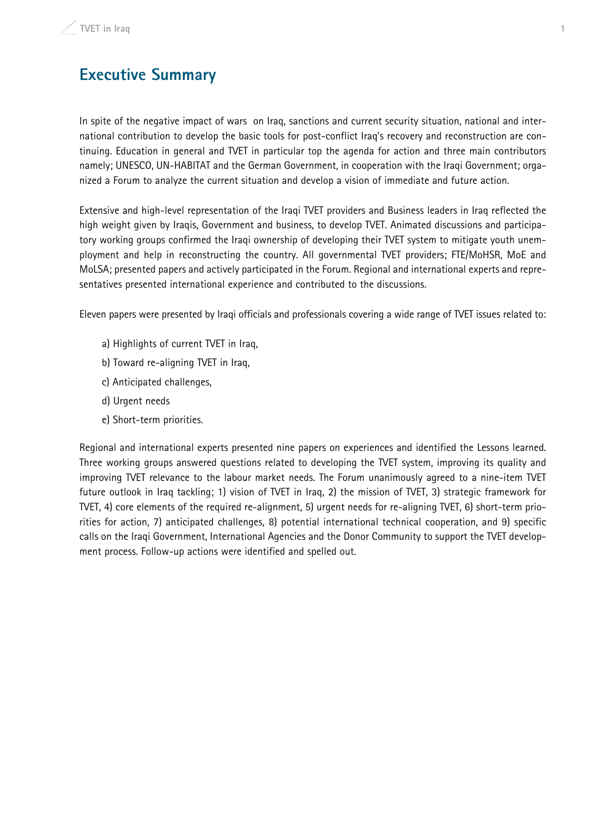# **Executive Summary**

In spite of the negative impact of wars on Iraq, sanctions and current security situation, national and international contribution to develop the basic tools for post-conflict Iraq's recovery and reconstruction are continuing. Education in general and TVET in particular top the agenda for action and three main contributors namely; UNESCO, UN-HABITAT and the German Government, in cooperation with the Iraqi Government; organized a Forum to analyze the current situation and develop a vision of immediate and future action.

Extensive and high-level representation of the Iraqi TVET providers and Business leaders in Iraq reflected the high weight given by Iraqis, Government and business, to develop TVET. Animated discussions and participatory working groups confirmed the Iraqi ownership of developing their TVET system to mitigate youth unemployment and help in reconstructing the country. All governmental TVET providers; FTE/MoHSR, MoE and MoLSA; presented papers and actively participated in the Forum. Regional and international experts and representatives presented international experience and contributed to the discussions.

Eleven papers were presented by Iraqi officials and professionals covering a wide range of TVET issues related to:

- a) Highlights of current TVET in Iraq,
- b) Toward re-aligning TVET in Iraq,
- c) Anticipated challenges,
- d) Urgent needs
- e) Short-term priorities.

Regional and international experts presented nine papers on experiences and identified the Lessons learned. Three working groups answered questions related to developing the TVET system, improving its quality and improving TVET relevance to the labour market needs. The Forum unanimously agreed to a nine-item TVET future outlook in Iraq tackling; 1) vision of TVET in Iraq, 2) the mission of TVET, 3) strategic framework for TVET, 4) core elements of the required re-alignment, 5) urgent needs for re-aligning TVET, 6) short-term priorities for action, 7) anticipated challenges, 8) potential international technical cooperation, and 9) specific calls on the Iraqi Government, International Agencies and the Donor Community to support the TVET development process. Follow-up actions were identified and spelled out.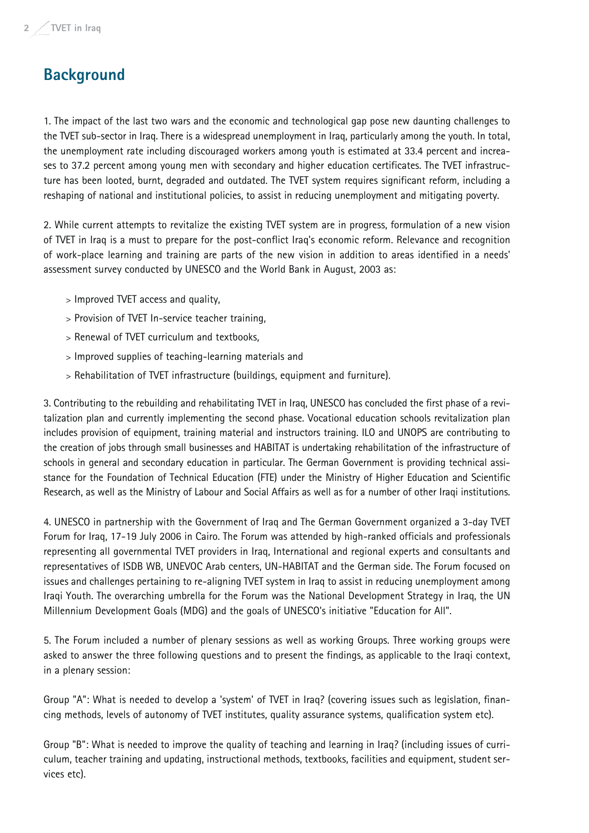# **Background**

1. The impact of the last two wars and the economic and technological gap pose new daunting challenges to the TVET sub-sector in Iraq. There is a widespread unemployment in Iraq, particularly among the youth. In total, the unemployment rate including discouraged workers among youth is estimated at 33.4 percent and increases to 37.2 percent among young men with secondary and higher education certificates. The TVET infrastructure has been looted, burnt, degraded and outdated. The TVET system requires significant reform, including a reshaping of national and institutional policies, to assist in reducing unemployment and mitigating poverty.

2. While current attempts to revitalize the existing TVET system are in progress, formulation of a new vision of TVET in Iraq is a must to prepare for the post-conflict Iraq's economic reform. Relevance and recognition of work-place learning and training are parts of the new vision in addition to areas identified in a needs' assessment survey conducted by UNESCO and the World Bank in August, 2003 as:

- > Improved TVET access and quality,
- > Provision of TVET In-service teacher training,
- > Renewal of TVET curriculum and textbooks,
- > Improved supplies of teaching-learning materials and
- > Rehabilitation of TVET infrastructure (buildings, equipment and furniture).

3. Contributing to the rebuilding and rehabilitating TVET in Iraq, UNESCO has concluded the first phase of a revitalization plan and currently implementing the second phase. Vocational education schools revitalization plan includes provision of equipment, training material and instructors training. ILO and UNOPS are contributing to the creation of jobs through small businesses and HABITAT is undertaking rehabilitation of the infrastructure of schools in general and secondary education in particular. The German Government is providing technical assistance for the Foundation of Technical Education (FTE) under the Ministry of Higher Education and Scientific Research, as well as the Ministry of Labour and Social Affairs as well as for a number of other Iraqi institutions.

4. UNESCO in partnership with the Government of Iraq and The German Government organized a 3-day TVET Forum for Iraq, 17-19 July 2006 in Cairo. The Forum was attended by high-ranked officials and professionals representing all governmental TVET providers in Iraq, International and regional experts and consultants and representatives of ISDB WB, UNEVOC Arab centers, UN-HABITAT and the German side. The Forum focused on issues and challenges pertaining to re-aligning TVET system in Iraq to assist in reducing unemployment among Iraqi Youth. The overarching umbrella for the Forum was the National Development Strategy in Iraq, the UN Millennium Development Goals (MDG) and the goals of UNESCO's initiative "Education for All".

5. The Forum included a number of plenary sessions as well as working Groups. Three working groups were asked to answer the three following questions and to present the findings, as applicable to the Iraqi context, in a plenary session:

Group "A": What is needed to develop a 'system' of TVET in Iraq? (covering issues such as legislation, financing methods, levels of autonomy of TVET institutes, quality assurance systems, qualification system etc).

Group "B": What is needed to improve the quality of teaching and learning in Iraq? (including issues of curriculum, teacher training and updating, instructional methods, textbooks, facilities and equipment, student services etc).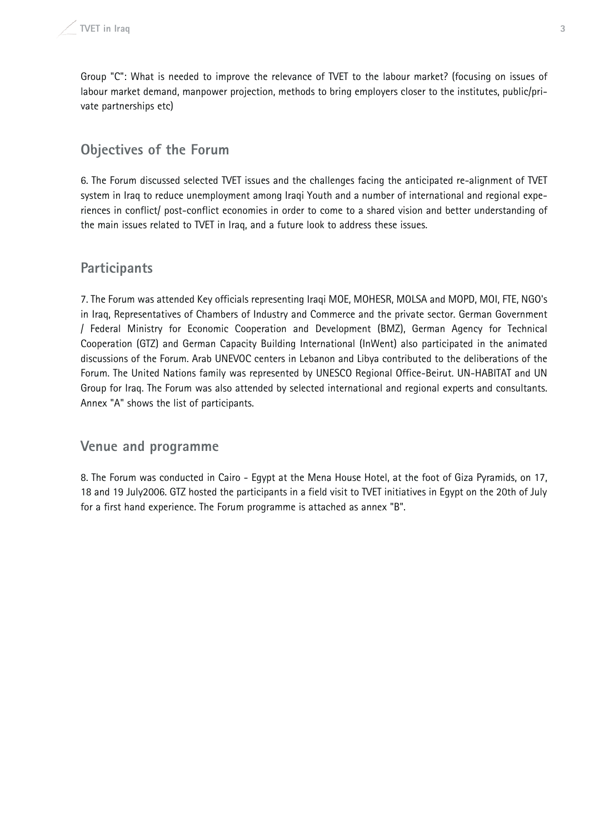Group "C": What is needed to improve the relevance of TVET to the labour market? (focusing on issues of labour market demand, manpower projection, methods to bring employers closer to the institutes, public/private partnerships etc)

# **Objectives of the Forum**

6. The Forum discussed selected TVET issues and the challenges facing the anticipated re-alignment of TVET system in Iraq to reduce unemployment among Iraqi Youth and a number of international and regional experiences in conflict/ post-conflict economies in order to come to a shared vision and better understanding of the main issues related to TVET in Iraq, and a future look to address these issues.

## **Participants**

7. The Forum was attended Key officials representing Iraqi MOE, MOHESR, MOLSA and MOPD, MOI, FTE, NGO's in Iraq, Representatives of Chambers of Industry and Commerce and the private sector. German Government / Federal Ministry for Economic Cooperation and Development (BMZ), German Agency for Technical Cooperation (GTZ) and German Capacity Building International (InWent) also participated in the animated discussions of the Forum. Arab UNEVOC centers in Lebanon and Libya contributed to the deliberations of the Forum. The United Nations family was represented by UNESCO Regional Office-Beirut. UN-HABITAT and UN Group for Iraq. The Forum was also attended by selected international and regional experts and consultants. Annex "A" shows the list of participants.

## **Venue and programme**

8. The Forum was conducted in Cairo - Egypt at the Mena House Hotel, at the foot of Giza Pyramids, on 17, 18 and 19 July2006. GTZ hosted the participants in a field visit to TVET initiatives in Egypt on the 20th of July for a first hand experience. The Forum programme is attached as annex "B".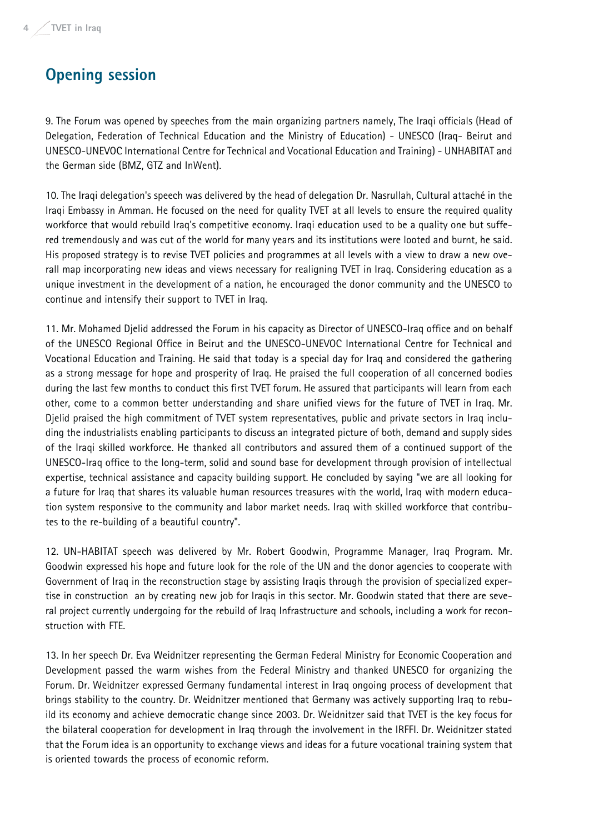# **Opening session**

9. The Forum was opened by speeches from the main organizing partners namely, The Iraqi officials (Head of Delegation, Federation of Technical Education and the Ministry of Education) - UNESCO (Iraq- Beirut and UNESCO-UNEVOC International Centre for Technical and Vocational Education and Training) - UNHABITAT and the German side (BMZ, GTZ and InWent).

10. The Iraqi delegation's speech was delivered by the head of delegation Dr. Nasrullah, Cultural attaché in the Iraqi Embassy in Amman. He focused on the need for quality TVET at all levels to ensure the required quality workforce that would rebuild Iraq's competitive economy. Iraqi education used to be a quality one but suffered tremendously and was cut of the world for many years and its institutions were looted and burnt, he said. His proposed strategy is to revise TVET policies and programmes at all levels with a view to draw a new overall map incorporating new ideas and views necessary for realigning TVET in Iraq. Considering education as a unique investment in the development of a nation, he encouraged the donor community and the UNESCO to continue and intensify their support to TVET in Iraq.

11. Mr. Mohamed Djelid addressed the Forum in his capacity as Director of UNESCO-Iraq office and on behalf of the UNESCO Regional Office in Beirut and the UNESCO-UNEVOC International Centre for Technical and Vocational Education and Training. He said that today is a special day for Iraq and considered the gathering as a strong message for hope and prosperity of Iraq. He praised the full cooperation of all concerned bodies during the last few months to conduct this first TVET forum. He assured that participants will learn from each other, come to a common better understanding and share unified views for the future of TVET in Iraq. Mr. Djelid praised the high commitment of TVET system representatives, public and private sectors in Iraq including the industrialists enabling participants to discuss an integrated picture of both, demand and supply sides of the Iraqi skilled workforce. He thanked all contributors and assured them of a continued support of the UNESCO-Iraq office to the long-term, solid and sound base for development through provision of intellectual expertise, technical assistance and capacity building support. He concluded by saying "we are all looking for a future for Iraq that shares its valuable human resources treasures with the world, Iraq with modern education system responsive to the community and labor market needs. Iraq with skilled workforce that contributes to the re-building of a beautiful country".

12. UN-HABITAT speech was delivered by Mr. Robert Goodwin, Programme Manager, Iraq Program. Mr. Goodwin expressed his hope and future look for the role of the UN and the donor agencies to cooperate with Government of Iraq in the reconstruction stage by assisting Iraqis through the provision of specialized expertise in construction an by creating new job for Iraqis in this sector. Mr. Goodwin stated that there are several project currently undergoing for the rebuild of Iraq Infrastructure and schools, including a work for reconstruction with FTE.

13. In her speech Dr. Eva Weidnitzer representing the German Federal Ministry for Economic Cooperation and Development passed the warm wishes from the Federal Ministry and thanked UNESCO for organizing the Forum. Dr. Weidnitzer expressed Germany fundamental interest in Iraq ongoing process of development that brings stability to the country. Dr. Weidnitzer mentioned that Germany was actively supporting Iraq to rebuild its economy and achieve democratic change since 2003. Dr. Weidnitzer said that TVET is the key focus for the bilateral cooperation for development in Iraq through the involvement in the IRFFI. Dr. Weidnitzer stated that the Forum idea is an opportunity to exchange views and ideas for a future vocational training system that is oriented towards the process of economic reform.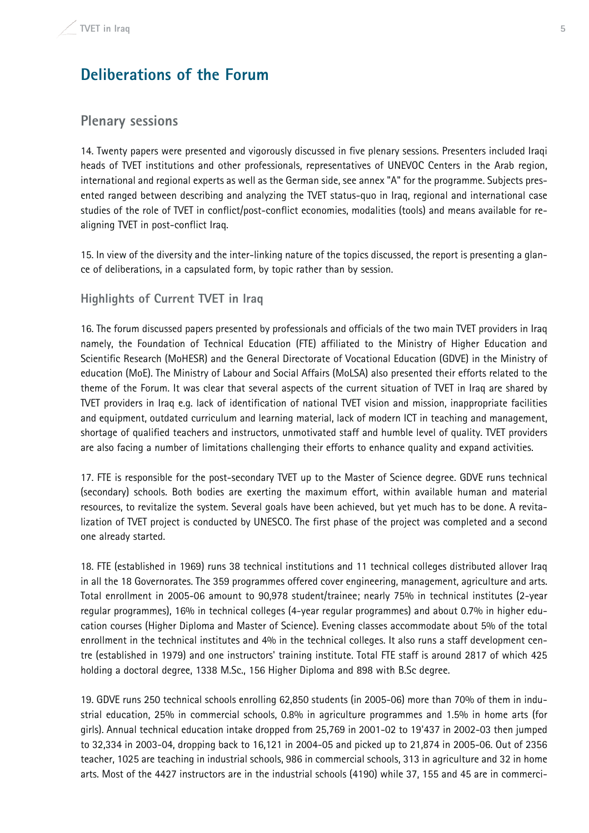# **Deliberations of the Forum**

## **Plenary sessions**

14. Twenty papers were presented and vigorously discussed in five plenary sessions. Presenters included Iraqi heads of TVET institutions and other professionals, representatives of UNEVOC Centers in the Arab region, international and regional experts as well as the German side, see annex "A" for the programme. Subjects presented ranged between describing and analyzing the TVET status-quo in Iraq, regional and international case studies of the role of TVET in conflict/post-conflict economies, modalities (tools) and means available for realigning TVET in post-conflict Iraq.

15. In view of the diversity and the inter-linking nature of the topics discussed, the report is presenting a glance of deliberations, in a capsulated form, by topic rather than by session.

#### **Highlights of Current TVET in Iraq**

16. The forum discussed papers presented by professionals and officials of the two main TVET providers in Iraq namely, the Foundation of Technical Education (FTE) affiliated to the Ministry of Higher Education and Scientific Research (MoHESR) and the General Directorate of Vocational Education (GDVE) in the Ministry of education (MoE). The Ministry of Labour and Social Affairs (MoLSA) also presented their efforts related to the theme of the Forum. It was clear that several aspects of the current situation of TVET in Iraq are shared by TVET providers in Iraq e.g. lack of identification of national TVET vision and mission, inappropriate facilities and equipment, outdated curriculum and learning material, lack of modern ICT in teaching and management, shortage of qualified teachers and instructors, unmotivated staff and humble level of quality. TVET providers are also facing a number of limitations challenging their efforts to enhance quality and expand activities.

17. FTE is responsible for the post-secondary TVET up to the Master of Science degree. GDVE runs technical (secondary) schools. Both bodies are exerting the maximum effort, within available human and material resources, to revitalize the system. Several goals have been achieved, but yet much has to be done. A revitalization of TVET project is conducted by UNESCO. The first phase of the project was completed and a second one already started.

18. FTE (established in 1969) runs 38 technical institutions and 11 technical colleges distributed allover Iraq in all the 18 Governorates. The 359 programmes offered cover engineering, management, agriculture and arts. Total enrollment in 2005-06 amount to 90,978 student/trainee; nearly 75% in technical institutes (2-year regular programmes), 16% in technical colleges (4-year regular programmes) and about 0.7% in higher education courses (Higher Diploma and Master of Science). Evening classes accommodate about 5% of the total enrollment in the technical institutes and 4% in the technical colleges. It also runs a staff development centre (established in 1979) and one instructors' training institute. Total FTE staff is around 2817 of which 425 holding a doctoral degree, 1338 M.Sc., 156 Higher Diploma and 898 with B.Sc degree.

19. GDVE runs 250 technical schools enrolling 62,850 students (in 2005-06) more than 70% of them in industrial education, 25% in commercial schools, 0.8% in agriculture programmes and 1.5% in home arts (for girls). Annual technical education intake dropped from 25,769 in 2001-02 to 19'437 in 2002-03 then jumped to 32,334 in 2003-04, dropping back to 16,121 in 2004-05 and picked up to 21,874 in 2005-06. Out of 2356 teacher, 1025 are teaching in industrial schools, 986 in commercial schools, 313 in agriculture and 32 in home arts. Most of the 4427 instructors are in the industrial schools (4190) while 37, 155 and 45 are in commerci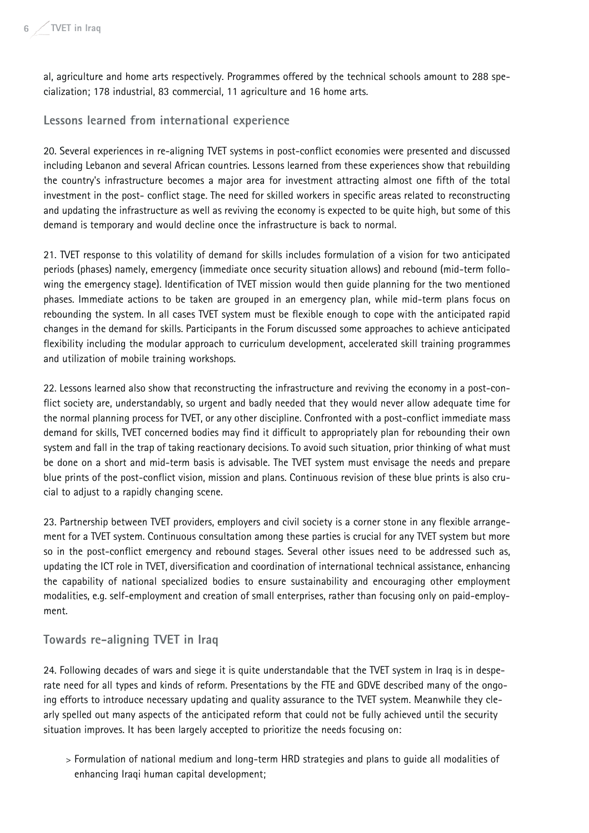al, agriculture and home arts respectively. Programmes offered by the technical schools amount to 288 specialization; 178 industrial, 83 commercial, 11 agriculture and 16 home arts.

#### **Lessons learned from international experience**

20. Several experiences in re-aligning TVET systems in post-conflict economies were presented and discussed including Lebanon and several African countries. Lessons learned from these experiences show that rebuilding the country's infrastructure becomes a major area for investment attracting almost one fifth of the total investment in the post- conflict stage. The need for skilled workers in specific areas related to reconstructing and updating the infrastructure as well as reviving the economy is expected to be quite high, but some of this demand is temporary and would decline once the infrastructure is back to normal.

21. TVET response to this volatility of demand for skills includes formulation of a vision for two anticipated periods (phases) namely, emergency (immediate once security situation allows) and rebound (mid-term following the emergency stage). Identification of TVET mission would then guide planning for the two mentioned phases. Immediate actions to be taken are grouped in an emergency plan, while mid-term plans focus on rebounding the system. In all cases TVET system must be flexible enough to cope with the anticipated rapid changes in the demand for skills. Participants in the Forum discussed some approaches to achieve anticipated flexibility including the modular approach to curriculum development, accelerated skill training programmes and utilization of mobile training workshops.

22. Lessons learned also show that reconstructing the infrastructure and reviving the economy in a post-conflict society are, understandably, so urgent and badly needed that they would never allow adequate time for the normal planning process for TVET, or any other discipline. Confronted with a post-conflict immediate mass demand for skills, TVET concerned bodies may find it difficult to appropriately plan for rebounding their own system and fall in the trap of taking reactionary decisions. To avoid such situation, prior thinking of what must be done on a short and mid-term basis is advisable. The TVET system must envisage the needs and prepare blue prints of the post-conflict vision, mission and plans. Continuous revision of these blue prints is also crucial to adjust to a rapidly changing scene.

23. Partnership between TVET providers, employers and civil society is a corner stone in any flexible arrangement for a TVET system. Continuous consultation among these parties is crucial for any TVET system but more so in the post-conflict emergency and rebound stages. Several other issues need to be addressed such as, updating the ICT role in TVET, diversification and coordination of international technical assistance, enhancing the capability of national specialized bodies to ensure sustainability and encouraging other employment modalities, e.g. self-employment and creation of small enterprises, rather than focusing only on paid-employment.

#### **Towards re-aligning TVET in Iraq**

24. Following decades of wars and siege it is quite understandable that the TVET system in Iraq is in desperate need for all types and kinds of reform. Presentations by the FTE and GDVE described many of the ongoing efforts to introduce necessary updating and quality assurance to the TVET system. Meanwhile they clearly spelled out many aspects of the anticipated reform that could not be fully achieved until the security situation improves. It has been largely accepted to prioritize the needs focusing on:

> Formulation of national medium and long-term HRD strategies and plans to guide all modalities of enhancing Iraqi human capital development;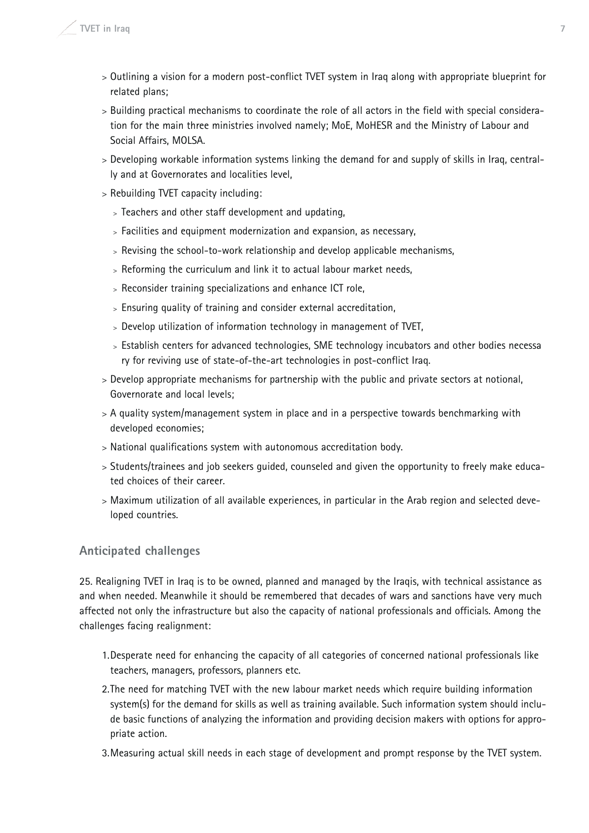- > Building practical mechanisms to coordinate the role of all actors in the field with special consideration for the main three ministries involved namely; MoE, MoHESR and the Ministry of Labour and Social Affairs, MOLSA.
- > Developing workable information systems linking the demand for and supply of skills in Iraq, centrally and at Governorates and localities level,
- > Rebuilding TVET capacity including:
	- <sup>&</sup>gt; Teachers and other staff development and updating,
	- $>$  Facilities and equipment modernization and expansion, as necessary,
	- <sup>&</sup>gt; Revising the school-to-work relationship and develop applicable mechanisms,
	- <sup>&</sup>gt; Reforming the curriculum and link it to actual labour market needs,
	- <sup>&</sup>gt; Reconsider training specializations and enhance ICT role,
	- <sup>&</sup>gt; Ensuring quality of training and consider external accreditation,
	- <sup>&</sup>gt; Develop utilization of information technology in management of TVET,
	- <sup>&</sup>gt; Establish centers for advanced technologies, SME technology incubators and other bodies necessa ry for reviving use of state-of-the-art technologies in post-conflict Iraq.
- > Develop appropriate mechanisms for partnership with the public and private sectors at notional, Governorate and local levels;
- > A quality system/management system in place and in a perspective towards benchmarking with developed economies;
- > National qualifications system with autonomous accreditation body.
- > Students/trainees and job seekers guided, counseled and given the opportunity to freely make educated choices of their career.
- > Maximum utilization of all available experiences, in particular in the Arab region and selected developed countries.

#### **Anticipated challenges**

25. Realigning TVET in Iraq is to be owned, planned and managed by the Iraqis, with technical assistance as and when needed. Meanwhile it should be remembered that decades of wars and sanctions have very much affected not only the infrastructure but also the capacity of national professionals and officials. Among the challenges facing realignment:

- 1.Desperate need for enhancing the capacity of all categories of concerned national professionals like teachers, managers, professors, planners etc.
- 2.The need for matching TVET with the new labour market needs which require building information system(s) for the demand for skills as well as training available. Such information system should include basic functions of analyzing the information and providing decision makers with options for appropriate action.
- 3.Measuring actual skill needs in each stage of development and prompt response by the TVET system.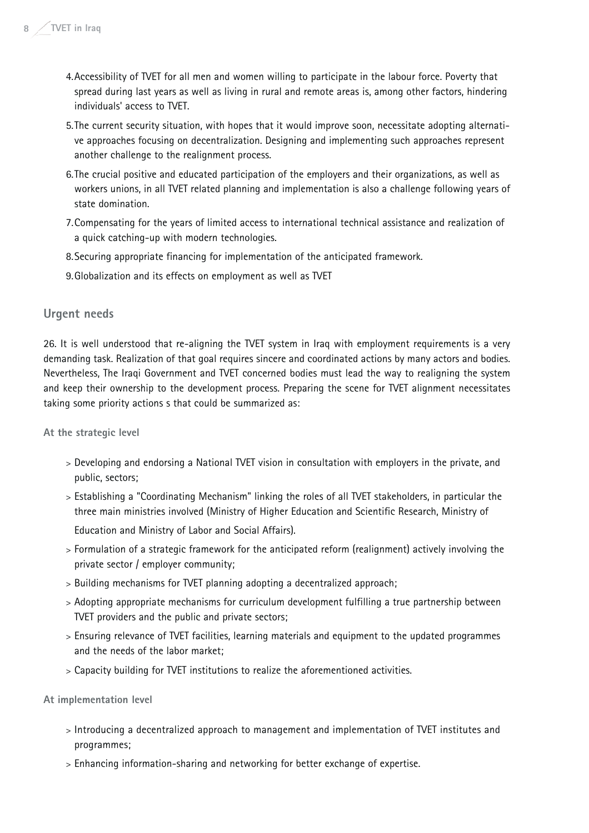- 4.Accessibility of TVET for all men and women willing to participate in the labour force. Poverty that spread during last years as well as living in rural and remote areas is, among other factors, hindering individuals' access to TVET.
- 5.The current security situation, with hopes that it would improve soon, necessitate adopting alternative approaches focusing on decentralization. Designing and implementing such approaches represent another challenge to the realignment process.
- 6.The crucial positive and educated participation of the employers and their organizations, as well as workers unions, in all TVET related planning and implementation is also a challenge following years of state domination.
- 7.Compensating for the years of limited access to international technical assistance and realization of a quick catching-up with modern technologies.
- 8.Securing appropriate financing for implementation of the anticipated framework.
- 9.Globalization and its effects on employment as well as TVET

# **Urgent needs**

26. It is well understood that re-aligning the TVET system in Iraq with employment requirements is a very demanding task. Realization of that goal requires sincere and coordinated actions by many actors and bodies. Nevertheless, The Iraqi Government and TVET concerned bodies must lead the way to realigning the system and keep their ownership to the development process. Preparing the scene for TVET alignment necessitates taking some priority actions s that could be summarized as:

**At the strategic level**

- > Developing and endorsing a National TVET vision in consultation with employers in the private, and public, sectors;
- > Establishing a "Coordinating Mechanism" linking the roles of all TVET stakeholders, in particular the three main ministries involved (Ministry of Higher Education and Scientific Research, Ministry of

Education and Ministry of Labor and Social Affairs).

- $>$  Formulation of a strategic framework for the anticipated reform (realignment) actively involving the private sector / employer community;
- > Building mechanisms for TVET planning adopting a decentralized approach;
- > Adopting appropriate mechanisms for curriculum development fulfilling a true partnership between TVET providers and the public and private sectors;
- > Ensuring relevance of TVET facilities, learning materials and equipment to the updated programmes and the needs of the labor market;
- > Capacity building for TVET institutions to realize the aforementioned activities.
- **At implementation level**
	- > Introducing a decentralized approach to management and implementation of TVET institutes and programmes;
	- > Enhancing information-sharing and networking for better exchange of expertise.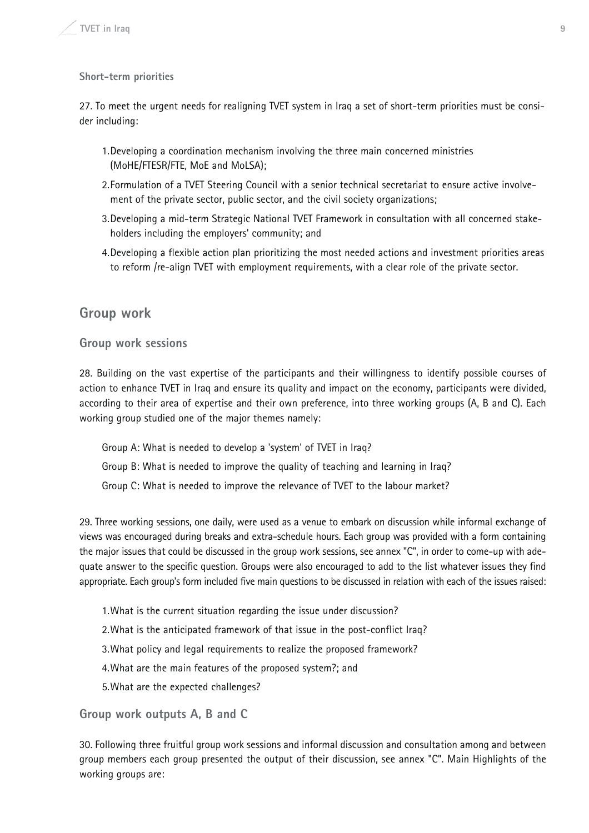#### **Short-term priorities**

27. To meet the urgent needs for realigning TVET system in Iraq a set of short-term priorities must be consider including:

- 1.Developing a coordination mechanism involving the three main concerned ministries (MoHE/FTESR/FTE, MoE and MoLSA);
- 2.Formulation of a TVET Steering Council with a senior technical secretariat to ensure active involvement of the private sector, public sector, and the civil society organizations;
- 3.Developing a mid-term Strategic National TVET Framework in consultation with all concerned stakeholders including the employers' community; and
- 4.Developing a flexible action plan prioritizing the most needed actions and investment priorities areas to reform /re-align TVET with employment requirements, with a clear role of the private sector.

### **Group work**

**Group work sessions**

28. Building on the vast expertise of the participants and their willingness to identify possible courses of action to enhance TVET in Iraq and ensure its quality and impact on the economy, participants were divided, according to their area of expertise and their own preference, into three working groups (A, B and C). Each working group studied one of the major themes namely:

Group A: What is needed to develop a 'system' of TVET in Iraq? Group B: What is needed to improve the quality of teaching and learning in Iraq? Group C: What is needed to improve the relevance of TVET to the labour market?

29. Three working sessions, one daily, were used as a venue to embark on discussion while informal exchange of views was encouraged during breaks and extra-schedule hours. Each group was provided with a form containing the major issues that could be discussed in the group work sessions, see annex "C", in order to come-up with adequate answer to the specific question. Groups were also encouraged to add to the list whatever issues they find appropriate. Each group's form included five main questions to be discussed in relation with each of the issues raised:

- 1.What is the current situation regarding the issue under discussion?
- 2.What is the anticipated framework of that issue in the post-conflict Iraq?
- 3.What policy and legal requirements to realize the proposed framework?
- 4.What are the main features of the proposed system?; and
- 5.What are the expected challenges?

**Group work outputs A, B and C**

30. Following three fruitful group work sessions and informal discussion and consultation among and between group members each group presented the output of their discussion, see annex "C". Main Highlights of the working groups are: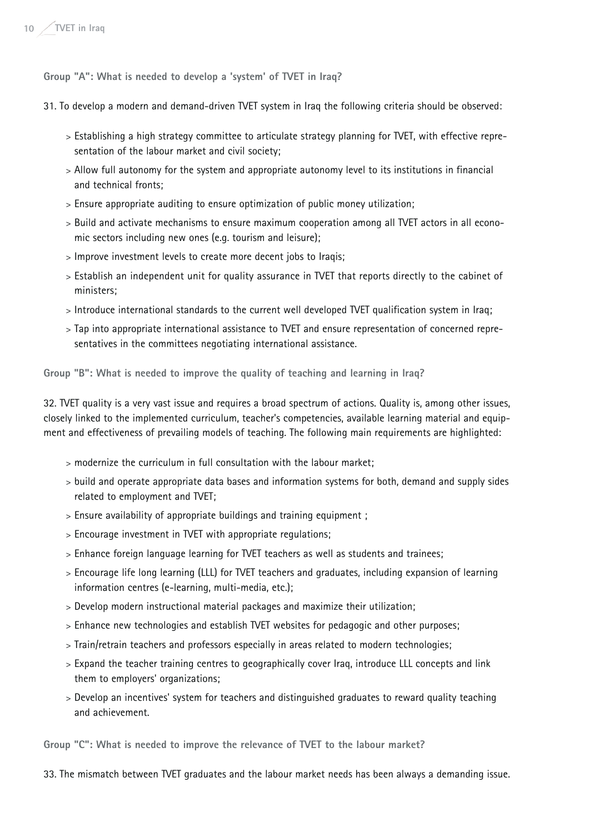**Group "A": What is needed to develop a 'system' of TVET in Iraq?**

31. To develop a modern and demand-driven TVET system in Iraq the following criteria should be observed:

- > Establishing a high strategy committee to articulate strategy planning for TVET, with effective representation of the labour market and civil society;
- > Allow full autonomy for the system and appropriate autonomy level to its institutions in financial and technical fronts;
- > Ensure appropriate auditing to ensure optimization of public money utilization;
- > Build and activate mechanisms to ensure maximum cooperation among all TVET actors in all economic sectors including new ones (e.g. tourism and leisure);
- > Improve investment levels to create more decent jobs to Iraqis;
- > Establish an independent unit for quality assurance in TVET that reports directly to the cabinet of ministers;
- > Introduce international standards to the current well developed TVET qualification system in Iraq;
- > Tap into appropriate international assistance to TVET and ensure representation of concerned representatives in the committees negotiating international assistance.

**Group "B": What is needed to improve the quality of teaching and learning in Iraq?**

32. TVET quality is a very vast issue and requires a broad spectrum of actions. Quality is, among other issues, closely linked to the implemented curriculum, teacher's competencies, available learning material and equipment and effectiveness of prevailing models of teaching. The following main requirements are highlighted:

- > modernize the curriculum in full consultation with the labour market;
- > build and operate appropriate data bases and information systems for both, demand and supply sides related to employment and TVET;
- > Ensure availability of appropriate buildings and training equipment ;
- > Encourage investment in TVET with appropriate regulations;
- > Enhance foreign language learning for TVET teachers as well as students and trainees;
- > Encourage life long learning (LLL) for TVET teachers and graduates, including expansion of learning information centres (e-learning, multi-media, etc.);
- > Develop modern instructional material packages and maximize their utilization;
- > Enhance new technologies and establish TVET websites for pedagogic and other purposes;
- > Train/retrain teachers and professors especially in areas related to modern technologies;
- > Expand the teacher training centres to geographically cover Iraq, introduce LLL concepts and link them to employers' organizations;
- > Develop an incentives' system for teachers and distinguished graduates to reward quality teaching and achievement.

**Group "C": What is needed to improve the relevance of TVET to the labour market?**

33. The mismatch between TVET graduates and the labour market needs has been always a demanding issue.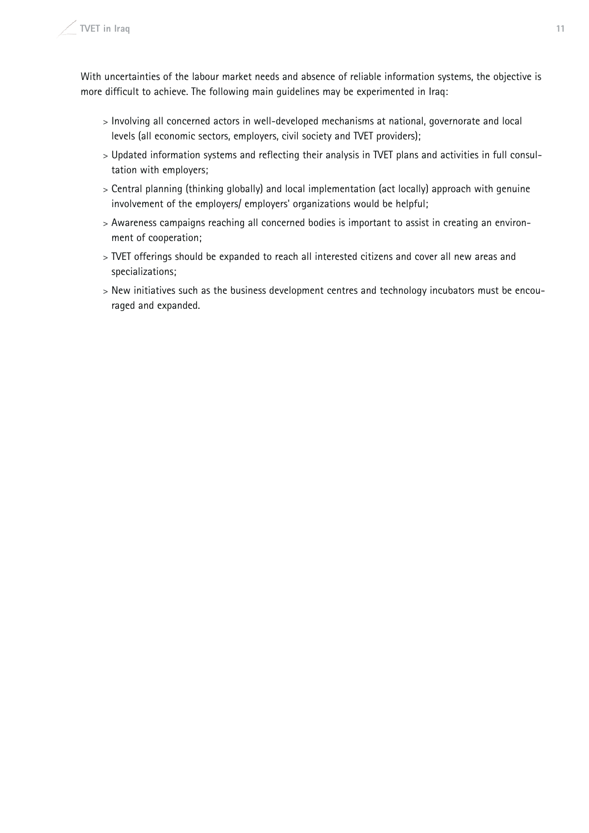With uncertainties of the labour market needs and absence of reliable information systems, the objective is more difficult to achieve. The following main guidelines may be experimented in Iraq:

- > Involving all concerned actors in well-developed mechanisms at national, governorate and local levels (all economic sectors, employers, civil society and TVET providers);
- > Updated information systems and reflecting their analysis in TVET plans and activities in full consultation with employers;
- > Central planning (thinking globally) and local implementation (act locally) approach with genuine involvement of the employers/ employers' organizations would be helpful;
- > Awareness campaigns reaching all concerned bodies is important to assist in creating an environment of cooperation;
- > TVET offerings should be expanded to reach all interested citizens and cover all new areas and specializations;
- > New initiatives such as the business development centres and technology incubators must be encouraged and expanded.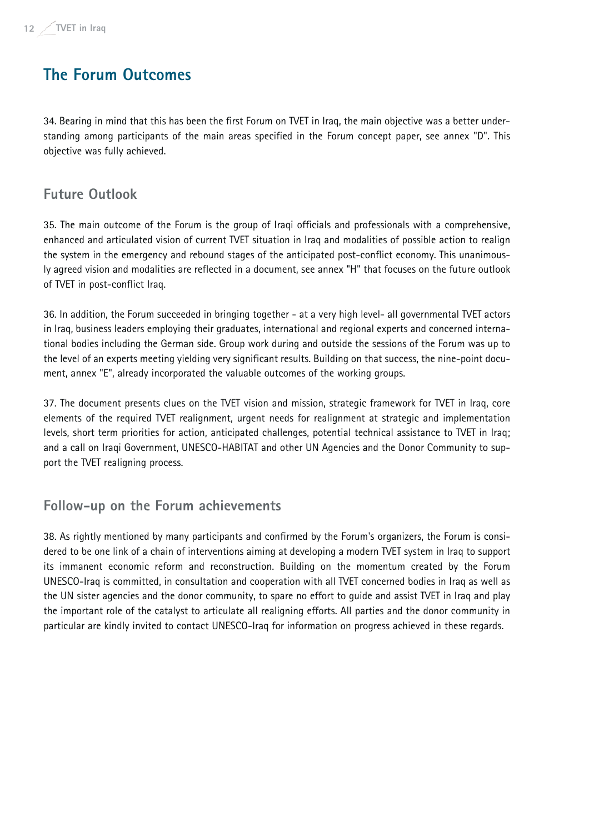# **The Forum Outcomes**

34. Bearing in mind that this has been the first Forum on TVET in Iraq, the main objective was a better understanding among participants of the main areas specified in the Forum concept paper, see annex "D". This objective was fully achieved.

# **Future Outlook**

35. The main outcome of the Forum is the group of Iraqi officials and professionals with a comprehensive, enhanced and articulated vision of current TVET situation in Iraq and modalities of possible action to realign the system in the emergency and rebound stages of the anticipated post-conflict economy. This unanimously agreed vision and modalities are reflected in a document, see annex "H" that focuses on the future outlook of TVET in post-conflict Iraq.

36. In addition, the Forum succeeded in bringing together - at a very high level- all governmental TVET actors in Iraq, business leaders employing their graduates, international and regional experts and concerned international bodies including the German side. Group work during and outside the sessions of the Forum was up to the level of an experts meeting yielding very significant results. Building on that success, the nine-point document, annex "E", already incorporated the valuable outcomes of the working groups.

37. The document presents clues on the TVET vision and mission, strategic framework for TVET in Iraq, core elements of the required TVET realignment, urgent needs for realignment at strategic and implementation levels, short term priorities for action, anticipated challenges, potential technical assistance to TVET in Iraq; and a call on Iraqi Government, UNESCO-HABITAT and other UN Agencies and the Donor Community to support the TVET realigning process.

# **Follow-up on the Forum achievements**

38. As rightly mentioned by many participants and confirmed by the Forum's organizers, the Forum is considered to be one link of a chain of interventions aiming at developing a modern TVET system in Iraq to support its immanent economic reform and reconstruction. Building on the momentum created by the Forum UNESCO-Iraq is committed, in consultation and cooperation with all TVET concerned bodies in Iraq as well as the UN sister agencies and the donor community, to spare no effort to guide and assist TVET in Iraq and play the important role of the catalyst to articulate all realigning efforts. All parties and the donor community in particular are kindly invited to contact UNESCO-Iraq for information on progress achieved in these regards.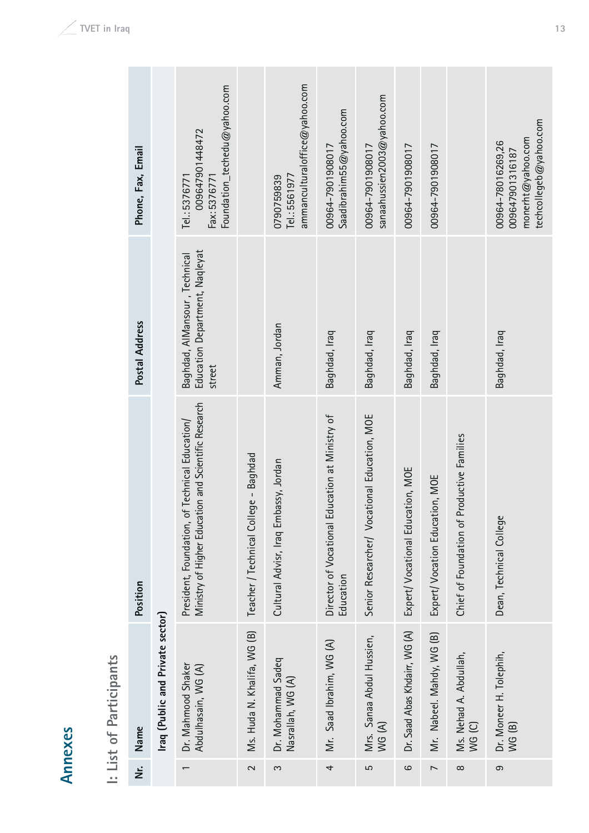|    | Ì                   |
|----|---------------------|
|    |                     |
|    | ᠭᠤ                  |
|    | ⊆<br>ä,             |
| ×  |                     |
|    | U                   |
|    | د.                  |
|    | Ê                   |
|    |                     |
|    |                     |
|    |                     |
|    | $\overline{\sigma}$ |
|    | o                   |
|    |                     |
|    |                     |
|    | ــــه               |
|    |                     |
|    | ı<br>ר              |
|    |                     |
|    |                     |
|    |                     |
|    |                     |
|    |                     |
|    | ₹                   |
|    |                     |
|    |                     |
| ٠, |                     |
|    |                     |
|    |                     |
|    | $\mathbf{a}$        |
|    |                     |

| Phone, Fax, Email |                                  | Foundation_techedu@yahoo.com<br>009647901448472<br>Tel.: 5376771<br>Fax: 5376771                          |                                       | ammanculturaloffice@yahoo.com<br>Tel.: 5561977<br>0790759839 | Saadibrahim55@yahoo.com<br>00964-7901908017                  | sanaahussien2003@yahoo.com<br>00964-7901908017 | 00964-7901908017                 | 00964-7901908017                |                                            | techcollegeb $@$ yahoo.com<br>monerht@yahoo.com<br>00964-78016269,26<br>009647901316187 |
|-------------------|----------------------------------|-----------------------------------------------------------------------------------------------------------|---------------------------------------|--------------------------------------------------------------|--------------------------------------------------------------|------------------------------------------------|----------------------------------|---------------------------------|--------------------------------------------|-----------------------------------------------------------------------------------------|
| Postal Address    |                                  | Education Department, Naqleyat<br>Baghdad, AIMansour, Technical<br>street                                 |                                       | Amman, Jordan                                                | Baghdad, Iraq                                                | Baghdad, Iraq                                  | Baghdad, Iraq                    | Baghdad, Iraq                   |                                            | Baghdad, Iraq                                                                           |
| Position          |                                  | Ministry of Higher Education and Scientific Research<br>Technical Education/<br>President, Foundation, of | Teacher / Technical College - Baghdad | Cultural Advisr, Iraq Embassy, Jordan                        | Director of Vocational Education at Ministry of<br>Education | Senior Researcher/ Vocational Education, MOE   | Expert/Vocational Education, MOE | Expert/ Vocation Education, MOE | Chief of Foundation of Productive Families | Dean, Technical College                                                                 |
| Name              | Iraq (Public and Private sector) | Dr. Mahmood Shaker<br>Abdulhasain, WG (A)                                                                 | Ms. Huda N. Khalifa, WG (B)           | Dr. Mohammad Sadeq<br>Nasrallah, WG (A)                      | Mr. Saad Ibrahim, WG (A)                                     | Mrs. Sanaa Abdul Hussien,<br>WG(A)             | Dr. Saad Abas Khdairr, WG (A)    | Mr. Nabeel. Mahdy, WG (B)       | Ms. Nehad A. Abdullah,<br>WG (C)           | Dr. Moneer H. Tolephih,<br>WG (B)                                                       |
| ن<br>N            |                                  |                                                                                                           | $\sim$                                | 3                                                            | 4                                                            | 5                                              | 6                                | $\overline{ }$                  | $\infty$                                   | တ                                                                                       |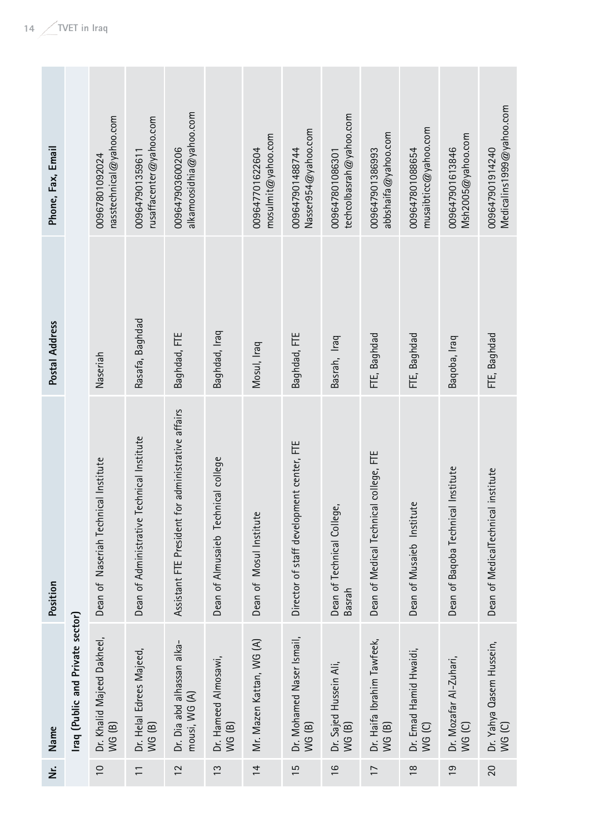| Phone, Fax, Email |                                  | nasstechnical@yahoo.com<br>00967801092024 | rusaffacenter@yahoo.com<br>009647901359611 | alkamoosidhia@yahoo.com<br>009647903600206         |                                     | mosulmit@yahoo.com<br>009647701622604 | Nasser954@yahoo.com<br>009647901488744    | techcolbasrah@yahoo.com<br>009647801086301 | abbshaifa@yahoo.com<br>009647901386993 | musaibticc@yahoo.com<br>009647801088654 | Msh2005@yahoo.com<br>009647901613846 | Medicalins1999@yahoo.com<br>009647901914240 |
|-------------------|----------------------------------|-------------------------------------------|--------------------------------------------|----------------------------------------------------|-------------------------------------|---------------------------------------|-------------------------------------------|--------------------------------------------|----------------------------------------|-----------------------------------------|--------------------------------------|---------------------------------------------|
| Postal Address    |                                  | Naseriah                                  | Rasafa, Baghdad                            | Baghdad, FTE                                       | Baghdad, Iraq                       | Mosul, Iraq                           | Baghdad, FTE                              | Basrah, Iraq                               | FTE, Baghdad                           | FTE, Baghdad                            | Baqoba, Iraq                         | FTE, Baghdad                                |
| Position          |                                  | cal Institute<br>Dean of Naseriah Techni  | Dean of Administrative Technical Institute | Assistant FTE President for administrative affairs | Dean of Almusaieb Technical college | Dean of Mosul Institute               | Director of staff development center, FTE | Dean of Technical College,<br>Basrah       | Dean of Medical Technical college, FTE | Dean of Musaieb Institute               | Dean of Baqoba Technical Institute   | Dean of MedicalTechnical institute          |
| Name              | Iraq (Public and Private sector) | Dr. Khalid Majeed Dakheel,<br>WG (B)      | Dr. Helal Edrees Majeed,<br>WG (B)         | Dr. Dia abd alhassan alka-<br>mousi, WG (A)        | Dr. Hameed Almosawi,<br>WG (B)      | Mr. Mazen Kattan, WG (A)              | Dr. Mohamed Naser Ismail,<br>WG (B)       | Dr. Sajed Hussein Ali,<br>WG (B)           | Dr. Haifa Ibrahim Tawfeek,<br>WG (B)   | Dr. Emad Hamid Hwaidi,<br>WG (C)        | Dr. Mozafar Al-Zuhari,<br>WG (C)     | Dr. Yahya Qasem Hussein,<br>WG (C)          |
| ن<br>Z            |                                  | $\supseteq$                               | $\overline{\phantom{0}}$                   | 12                                                 | $\tilde{c}$                         | $\overline{4}$                        | 15                                        | $\frac{9}{1}$                              | $\overline{1}$                         | $\frac{8}{1}$                           | $\overline{9}$                       | 20                                          |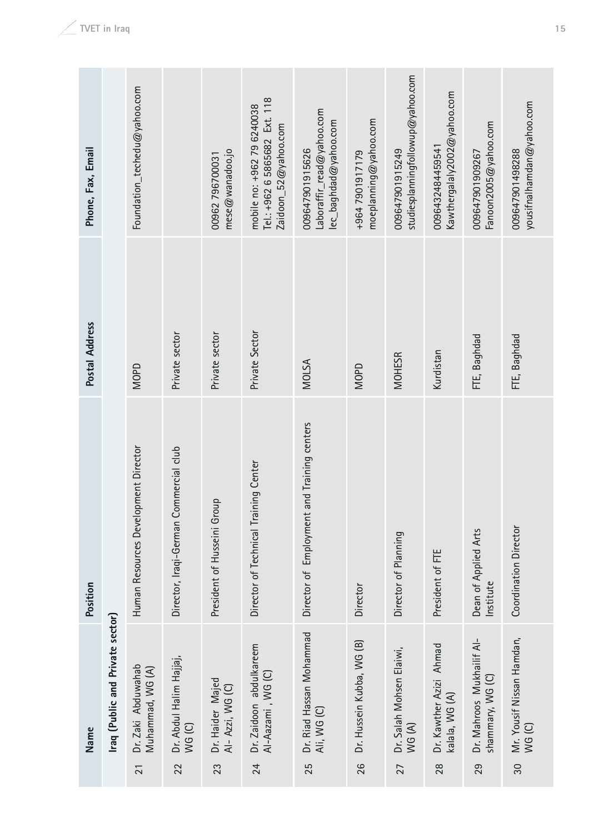| Phone, Fax, Email |                                  | Foundation_techedu@yahoo.com                              |                                         | $m$ ese $@$ wanadoo.jo<br>00962 796700031  | Tel: +962 6 5865682 Ext. 118<br>mobile no: +962 79 6240038<br>Zaidoon_52@yahoo.com | Laboraffir_read@yahoo.com<br>$ec\_baghdad@yahoo.com$<br>009647901915626 | moeplanning@yahoo.com<br>+964 7901917179 | studiesplanningfollowup@yahoo.com<br>009647901915249 | Kawthergalaly2002@yahoo.com<br>0096432484459541 | Fanoon2005@yahoo.com<br>009647901909267             | yousifnalhamdan@yahoo.com<br>009647901498288         |
|-------------------|----------------------------------|-----------------------------------------------------------|-----------------------------------------|--------------------------------------------|------------------------------------------------------------------------------------|-------------------------------------------------------------------------|------------------------------------------|------------------------------------------------------|-------------------------------------------------|-----------------------------------------------------|------------------------------------------------------|
| Postal Address    |                                  | <b>MOPD</b>                                               | Private sector                          | Private sector                             | Private Sector                                                                     | <b>MOLSA</b>                                                            | <b>MOPD</b>                              | <b>MOHESR</b>                                        | Kurdistan                                       | FTE, Baghdad                                        | FTE, Baghdad                                         |
| Position          |                                  | Human Resources Development Director                      | Director, Iraqi-German Commercial club  | President of Husseini Group                | Director of Technical Training Center                                              | and Training centers<br>Director of Employment                          | Director                                 | Director of Planning                                 | President of FTE                                | Dean of Applied Arts<br>Institute                   | Coordination Director                                |
| Name              | Iraq (Public and Private sector) | Dr. Zaki Abduwahab<br>Muhammad, WG (A)<br>$\overline{21}$ | Dr. Abdul Halim Hajjaj,<br>WG (C)<br>22 | Dr. Haider Majed<br>Al- Azzi, WG (C)<br>23 | Dr. Zaidoon abdulkareem<br>Al-Aazami, WG (C)<br>24                                 | Dr. Riad Hassan Mohammad<br>Ali, WG (C)<br>25                           | Dr. Hussein Kubba, WG (B)<br>26          | Dr. Salah Mohsen Elaiwi,<br>WG (A)<br>27             | Dr. Kawther Azizi Ahmad<br>kalala, WG (A)<br>28 | Dr. Mahroos Mukhailif Al-<br>shammary, WG (C)<br>29 | Mr. Yousif Nissan Hamdan,<br>WG <sub>(C)</sub><br>30 |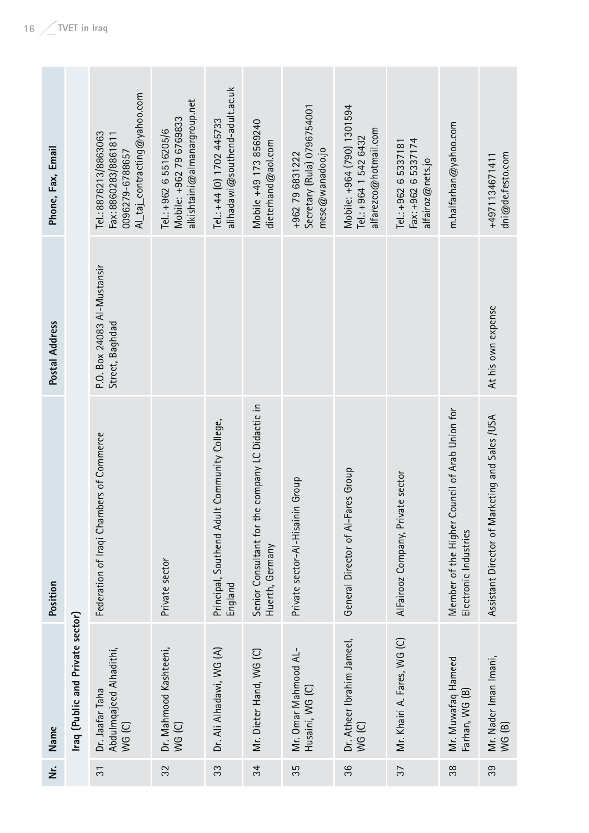| Phone, Fax, Email |                                  | Al_taj_contracting@yahoo.com<br>Tel.: 8876213/8863063<br>Fax: 8860283/8861811<br>0096279-6788657 | alkishtaini@almanargroup.net<br>Mobile: +962 79 6769833<br>Tel.: +962 6 5516205/6 | alihadawi@southend-adult.ac.uk<br>Tel.: +44 (0) 1702 445733 | Mobile +49 173 8569240<br>dieterhand@aol.com                        | Secretary (Rula) 0796754001<br>$mese@wa$ nadoo.jo<br>+962 79 683 1222 | Mobile: +964 (790) 1301594<br>alfarezco@hotmail.com<br>Tel: +964 1 542 6432 | Fax: +962 6 5337174<br>Tel.: +962 6 5337181<br>alfairoz@nets.jo | m.halfarhan $@$ yahoo.com                                               | dni@de.festo.com<br>+4971134671411             |
|-------------------|----------------------------------|--------------------------------------------------------------------------------------------------|-----------------------------------------------------------------------------------|-------------------------------------------------------------|---------------------------------------------------------------------|-----------------------------------------------------------------------|-----------------------------------------------------------------------------|-----------------------------------------------------------------|-------------------------------------------------------------------------|------------------------------------------------|
| Postal Address    |                                  | P.O. Box 24083 Al-Mustansir<br>Street, Baghdad                                                   |                                                                                   |                                                             |                                                                     |                                                                       |                                                                             |                                                                 |                                                                         | At his own expense                             |
| Position          |                                  | Federation of Iraqi Chambers of Commerce                                                         | Private sector                                                                    | Principal, Southend Adult Community College,<br>England     | Senior Consultant for the company LC Didactic in<br>Huerth, Germany | Private sector-AI-Hisainin Group                                      | General Director of Al-Fares Group                                          | AlFairooz Company, Private sector                               | Member of the Higher Council of Arab Union for<br>Electronic Industries | Assistant Director of Marketing and Sales /USA |
| Name              | Iraq (Public and Private sector) | Abdulmqajeed Alhadithi,<br>Dr. Jaafar Taha<br>WG (C)                                             | Dr. Mahmood Kashteeni,<br>WG (C)                                                  | Dr. Ali Alhadawi, WG (A)                                    | Mr. Dieter Hand, WG (C)                                             | Mr. Omar Mahmood AL-<br>Husaini, WG (C)                               | Dr. Atheer Ibrahim Jameel,<br>WG (C)                                        | Mr. Khairi A. Fares, WG (C)                                     | Mr. Muwafaq Hameed<br>Farhan, WG (B)                                    | Mr. Nader Iman Imani,<br>WG (B)                |
| ن<br>N            |                                  | $\overline{31}$                                                                                  | 32                                                                                | 33                                                          | 34                                                                  | 35                                                                    | 36                                                                          | 57                                                              | 38                                                                      | 39                                             |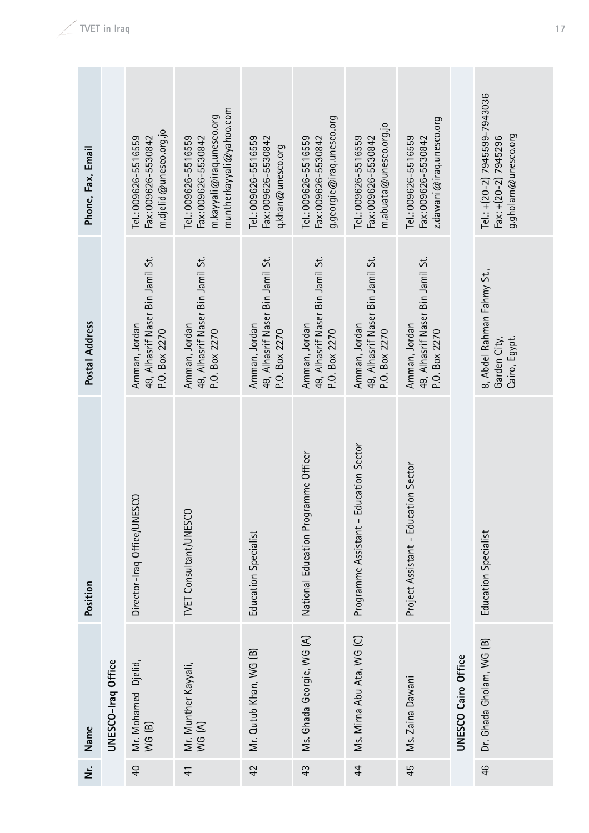| Phone, Fax, Email |                    | m.djelid@unesco.org.jo<br>Tel.: 009626-5516559<br>Fax: 009626-5530842 | muntherkayyali $@$ yahoo.com<br>m.kayyali@iraq.unesco.org<br>Tel.: 009626-5516559<br>Fax: 009626-5530842 | Tel.: 009626-5516559<br>Fax: 009626-5530842<br>q.khan@unesco.org   | g.georgie@iraq.unesco.org<br>Tel.: 009626-5516559<br>Fax: 009626-5530842 | m.abuata@unesco.org.jo<br>Tel.: 009626-5516559<br>Fax:009626-5530842 | z.dawani $@$ iraq.unesco.org<br>Tel.: 009626-5516559<br>Fax:009626-5530842 |                            | Tel: +(20-2) 7945599-7943036<br>g.gholam@unesco.org<br>Fax: +(20-2) 7945296 |
|-------------------|--------------------|-----------------------------------------------------------------------|----------------------------------------------------------------------------------------------------------|--------------------------------------------------------------------|--------------------------------------------------------------------------|----------------------------------------------------------------------|----------------------------------------------------------------------------|----------------------------|-----------------------------------------------------------------------------|
| Postal Address    |                    | 49, Alhasrif Naser Bin Jamil St.<br>Amman, Jordan<br>P.O. Box 2270    | 49, Alhasrif Naser Bin Jamil St.<br>Amman, Jordan<br>P.O. Box 2270                                       | 49, Alhasrif Naser Bin Jamil St.<br>Amman, Jordan<br>P.O. Box 2270 | 49, Alhasrif Naser Bin Jamil St.<br>Amman, Jordan<br>P.O. Box 2270       | 49, Alhasrif Naser Bin Jamil St.<br>Amman, Jordan<br>P.O. Box 2270   | 49, Alhasrif Naser Bin Jamil St.<br>Amman, Jordan<br>P.O. Box 2270         |                            | 8, Abdel Rahman Fahmy St.,<br>Garden City,<br>Cairo, Egypt.                 |
| Position          |                    | Director-Iraq Office/UNESCO                                           | TVET Consultant/UNESCO                                                                                   | Education Specialist                                               | National Education Programme Officer                                     | Programme Assistant - Education Sector                               | Project Assistant - Education Sector                                       |                            | Education Specialist                                                        |
| Name              | UNESCO-Iraq Office | Djelid,<br>Mr. Mohamed<br>WG (B)                                      | Mr. Munther Kayyali,<br>WG(A)                                                                            | Mr. Qutub Khan, WG (B)                                             | Ms. Ghada Georgie, WG (A)                                                | Ms. Mirna Abu Ata, WG (C)                                            | Ms. Zaina Dawani                                                           | <b>UNESCO Cairo Office</b> | Dr. Ghada Gholam, WG (B)                                                    |
| ż                 |                    | $\overline{4}$                                                        | $\frac{4}{ }$                                                                                            | 42                                                                 | 43                                                                       | $\overline{4}$                                                       | 45                                                                         |                            | 46                                                                          |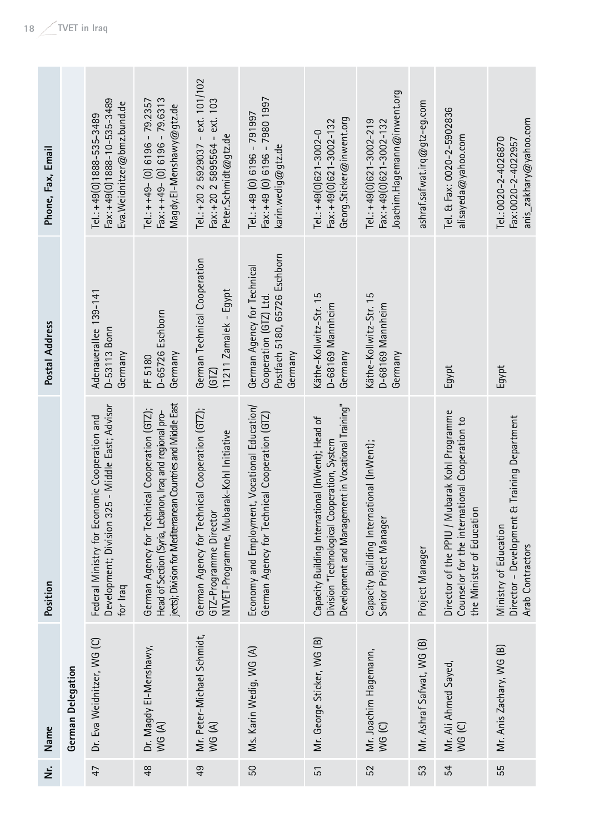|                   |                                                                                                               |                                                                                                                                                                           | Peter.Schmidt@gtz.de                                                                                                 | karin.wedig@gtz.de                                                                                | Fax: +49(0)621-3002-132<br>Tel.: +49(0)621-3002-0                                                                                                      | Tel:+49(0)621-3002-219<br>Fax: +49(0)621-3002-132                   |                             | alisayeda @yahoo.com                                                                                                         | anis_zakhary@yahoo.com<br>Tel.: 0020-2-4026870<br>Fax: 0020-2-4022957                         |
|-------------------|---------------------------------------------------------------------------------------------------------------|---------------------------------------------------------------------------------------------------------------------------------------------------------------------------|----------------------------------------------------------------------------------------------------------------------|---------------------------------------------------------------------------------------------------|--------------------------------------------------------------------------------------------------------------------------------------------------------|---------------------------------------------------------------------|-----------------------------|------------------------------------------------------------------------------------------------------------------------------|-----------------------------------------------------------------------------------------------|
|                   | Adenauerallee 139-141<br>D-53113 Bonn<br>Germany                                                              | D-65726 Eschborn<br>Germany<br>PF 5180                                                                                                                                    | German Technical Cooperation<br>11211 Zamalek - Egypt<br>(612)                                                       | Postfach 5180, 65726 Eschborn<br>German Agency for Technical<br>Cooperation (GTZ) Ltd.<br>Germany | Käthe-Kollwitz-Str. 15<br>D-68169 Mannheim<br>Germany                                                                                                  | Käthe-Kollwitz-Str. 15<br>D-68169 Mannheim<br>Germany               |                             | Egypt                                                                                                                        | Egypt                                                                                         |
|                   | Development; Division 325 - Middle East; Advisor<br>Federal Ministry for Economic Cooperation and<br>for Iraq | jects); Division for Mediterranean Countries and Middle East<br>German Agency for Technical Cooperation (GTZ);<br>Head of Section (Syria, Lebanon, Iraq and regional pro- | German Agency for Technical Cooperation (GTZ);<br>NTVET-Programme, Mubarak-Kohl Initiative<br>GTZ-Programme Director | Economy and Employment, Vocational Education/<br>German Agency for Technical Cooperation (GTZ     | Development and Management in Vocational Training"<br>Capacity Building International (InWent); Head of<br>Division "Technological Cooperation, System | Capacity Building International (InWent);<br>Senior Project Manager | Project Manager             | Director of the PPIU / Mubarak Kohl Programme<br>Counselor for the international Cooperation to<br>the Minister of Education | Et Training Department<br>Director - Development<br>Ministry of Education<br>Arab Contractors |
| German Delegation | Dr. Eva Weidnitzer, WG (C)                                                                                    | Dr. Magdy El-Menshawy,<br>WG (A)                                                                                                                                          | Mr. Peter-Michael Schmidt,<br>WG(A)                                                                                  | Ms. Karin Wedig, WG (A)                                                                           | Mr. George Sticker, WG (B)                                                                                                                             | Mr. Joachim Hagemann,<br>WG <sub>(C)</sub>                          | Mr. Ashraf Safwat, WG (B)   | Mr. Ali Ahmed Sayed,<br>WG (C)                                                                                               | Mr. Anis Zachary, WG (B)                                                                      |
|                   | 47                                                                                                            | 48                                                                                                                                                                        | $\overline{4}$                                                                                                       | SQ                                                                                                | 51                                                                                                                                                     | 52                                                                  | 53                          | 54                                                                                                                           | 55                                                                                            |
|                   |                                                                                                               | Fax: +49(0)1888-10-535-3489<br>Eva.Weidnitzer@bmz.bund.de<br>Tel:+49(0)1888-535-3489                                                                                      | $Fax: ++49- (0) 6196 - 79.6313$<br>$Te1.: + +49-$ (0) 6196 - 79.2357<br>Magdy.El-Menshawy@gtz.de                     | Tel.: +20 2 5929037 - ext. 101/102<br>Fax: +20 2 5895564 - ext. 103                               | Fax: +49 (0) 6196 - 7980 1997<br>$TeL: +49$ (0) 6196 - 791957                                                                                          | Georg.Sticker@inwent.org                                            | Joachim.Hagemann@inwent.org | ashraf.safwat.irq $@$ gtz-eg.com                                                                                             | Tel. & Fax: 0020-2-5902836                                                                    |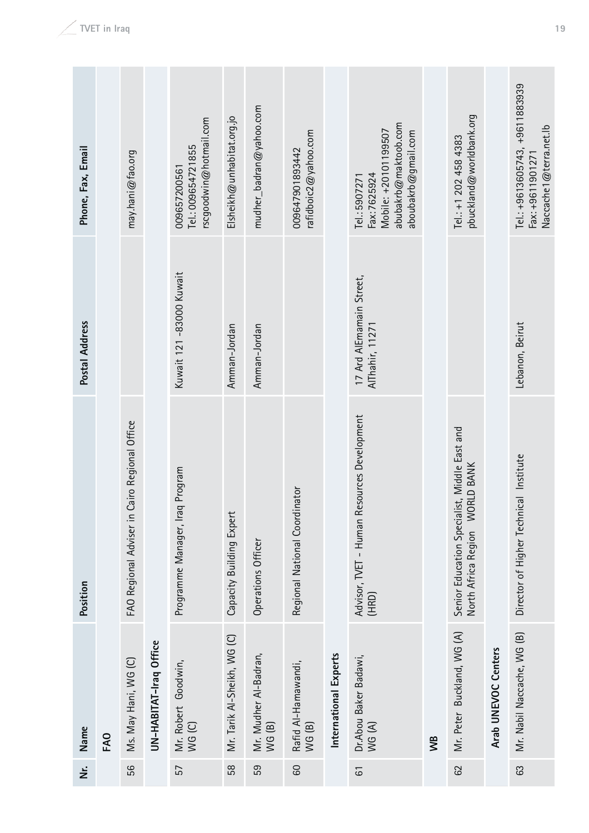| Phone, Fax, Email |     | may.hani@fao.org                                 |                        | rscgoodwin@hotmail.com<br>Tel.: 009654721855 | Elsheikh@unhabitat.org.jo   | mudher_badran@yahoo.com         | rafidboic2@yahoo.com<br>009647901893442 |                       | abubakrb@maktoob.com<br>Mobile: +20101199507<br>aboubakrb@gmail.com |    | $p$ buckland $@$ worldbank.org<br>Tel.: +1 202 458 4383                        |                     | Tel: +9613605743, +9611883939<br>Naccache1@terra.net.lb |
|-------------------|-----|--------------------------------------------------|------------------------|----------------------------------------------|-----------------------------|---------------------------------|-----------------------------------------|-----------------------|---------------------------------------------------------------------|----|--------------------------------------------------------------------------------|---------------------|---------------------------------------------------------|
|                   |     |                                                  |                        | 009657200561                                 |                             |                                 |                                         |                       | Fax: 7625924<br>Tel.: 5907271                                       |    |                                                                                |                     | Fax: +9611901271                                        |
| Postal Address    |     |                                                  |                        | Kuwait 121 -83000 Kuwait                     | Amman-Jordan                | Amman-Jordan                    |                                         |                       | 17 Ard AlEmamain Street,<br>AlThahir, 11271                         |    |                                                                                |                     | Lebanon, Beirut                                         |
| Position          |     | Cairo Regional Office<br>FAO Regional Adviser in |                        | Programme Manager, Iraq Program              | Capacity Building Expert    | Operations Officer              | Regional National Coordinator           |                       | Advisor, TVET - Human Resources Development<br>(HRD)                |    | Senior Education Specialist, Middle East and<br>North Africa Region WORLD BANK |                     | Director of Higher Technical Institute                  |
| Name              | FAO | Ms. May Hani, WG (C)                             | UN-HABITAT-Iraq Office | Mr. Robert Goodwin,<br>WG (C)                | Mr. Tarik Al-Sheikh, WG (C) | Mr. Mudher Al-Badran,<br>WG (B) | Rafid Al-Hamawandi,<br>WG (B)           | International Experts | Dr.Abou Baker Badawi,<br>WG(A)                                      | ŠМ | Mr. Peter Buckland, WG (A)                                                     | Arab UNEVOC Centers | Mr. Nabil Naccache, WG (B)                              |
| ż                 |     | 95                                               |                        | 57                                           | 58                          | 59                              | 60                                      |                       | $\overline{6}$                                                      |    | 62                                                                             |                     | 3                                                       |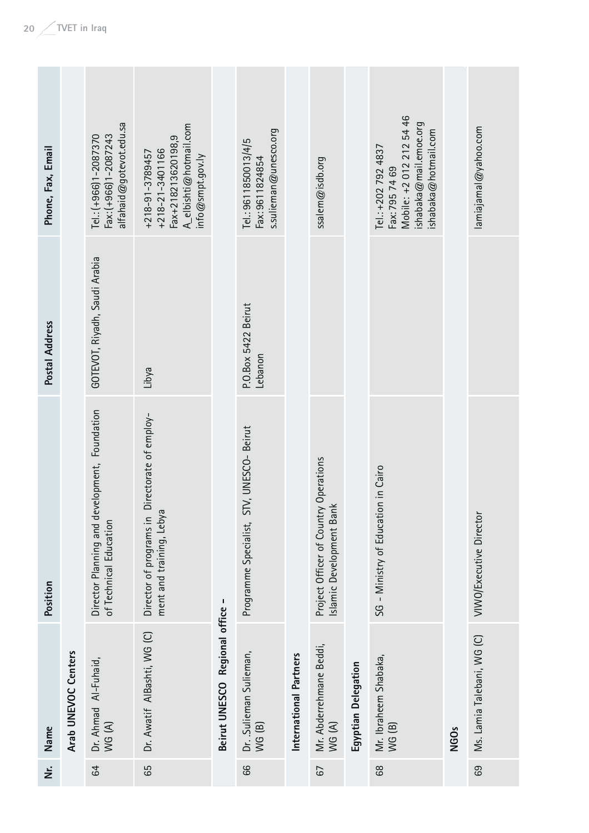| Phone, Fax, Email |                     | alfahaid@gotevot.edu.sa<br>Tel.: (+966)1-2087370<br>Fax: (+966) 1-2087243 | A_elbishti@hotmail.com<br>Fax+218213620198,9<br>$+218-21-3401166$<br>+218-91-3789457<br>info@smpt.gov.ly |                                 | s.sulieman@unesco.org<br>Tel.: 9611850013/4/5<br>Fax: 9611824854 |                        | ssalem@isdb.org                                                   |                     | Mobile: +2 012 212 54 46<br>ishabaka@mail.emoe.org<br>shabaka@hotmail.com<br>Tel.: +202 792 4837<br>Fax: 795 74 69 |                  | lamiajamal@yahoo.com       |
|-------------------|---------------------|---------------------------------------------------------------------------|----------------------------------------------------------------------------------------------------------|---------------------------------|------------------------------------------------------------------|------------------------|-------------------------------------------------------------------|---------------------|--------------------------------------------------------------------------------------------------------------------|------------------|----------------------------|
| Postal Address    |                     | GOTEVOT, Riyadh, Saudi Arabia                                             | Libya                                                                                                    |                                 | P.O.Box 5422 Beirut<br>Lebanon                                   |                        |                                                                   |                     |                                                                                                                    |                  |                            |
| Position          |                     | Director Planning and development, Foundation<br>of Technical Education   | Directorate of employ-<br>ment and training, Lebya<br>Director of programs in                            |                                 | Programme Specialist, STV, UNESCO- Beirut                        |                        | Project Officer of Country Operations<br>Islamic Development Bank |                     | SG - Ministry of Education in Cairo                                                                                |                  | VIWO/Executive Director    |
| Name              | Arab UNEVOC Centers | Dr. Ahmad Al-Fuhaid,<br>WG(A)                                             | Dr. Awatif AlBashti, WG (C)                                                                              | Beirut UNESCO Regional office - | Dr. Sulieman Sulieman,<br>WG (B)                                 | International Partners | Mr. Abderrehmane Beddi,<br>WG(A)                                  | Egyptian Delegation | Mr. Ibraheem Shabaka,<br>WG (B)                                                                                    | NGO <sub>S</sub> | Ms. Lamia Talebani, WG (C) |
| ن<br>Z            |                     | 64                                                                        | 65                                                                                                       |                                 | 89                                                               |                        | 67                                                                |                     | 89                                                                                                                 |                  | 69                         |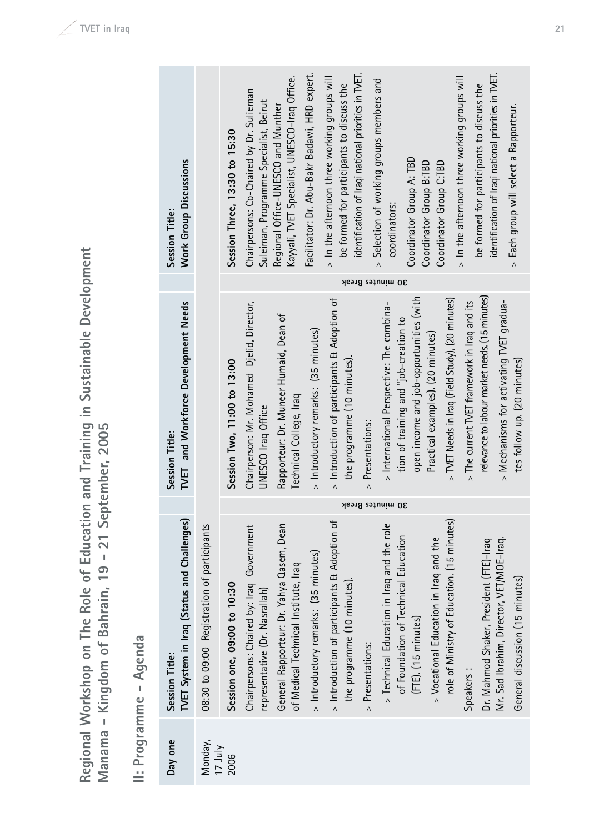|                    | Manama - Kingdom of Bahrain, 19 - 21 September, 2005                                  | Regional Workshop on The Role of Education and Training in Sustainable Development                   |                                                                                                   |
|--------------------|---------------------------------------------------------------------------------------|------------------------------------------------------------------------------------------------------|---------------------------------------------------------------------------------------------------|
|                    | II: Programme - Agenda                                                                |                                                                                                      |                                                                                                   |
| Day one            | TVET System in Iraq (Status and Challenges)<br>Session Title:                         | <b>TVET</b> and Workforce Development Needs<br>Session Title:                                        | <b>Work Group Discussions</b><br>Session Title:                                                   |
| Monday,<br>VInf 21 | 08:30 to 09:00 Registration of participants                                           |                                                                                                      |                                                                                                   |
| 2006               | Session one, 09:00 to 10:30                                                           | Session Two, 11:00 to 13:00                                                                          | Session Three, 13:30 to 15:30                                                                     |
|                    | Chairpersons: Chaired by: Iraq Government<br>representative (Dr. Nasrallah)           | Chairperson: Mr. Mohamed Djelid, Director,<br>UNESCO Iraq Office                                     | Chairpersons: Co-Chaired by Dr. Sulieman<br>Suleiman, Programme Specialist, Beirut                |
|                    | General Rapporteur: Dr. Yahya Qasem, Dean<br>of Medical Technical Institute, Iraq     | Rapporteur: Dr. Muneer Humaid, Dean of<br>Technical College, Iraq                                    | Kayyali, TVET Specialist, UNESCO-Iraq Office.<br>Regional Office-UNESCO and Munther               |
|                    | > Introductory remarks: (35 minutes)                                                  | > Introductory remarks: (35 minutes)                                                                 | Facilitator: Dr. Abu-Bakr Badawi, HRD expert.                                                     |
|                    | > Introduction of participants & Adoption of<br>the programme (10 minutes).           | > Introduction of participants & Adoption of<br>the programme (10 minutes).                          | $>$ In the afternoon three working groups will<br>be formed for participants to discuss the       |
|                    | Presentations:                                                                        | > Presentations                                                                                      | identification of Iraqi national priorities in TVET.                                              |
|                    | > Technical Education in Iraq and the role<br>of Foundation of Technical Education    | International Perspective: The combina-<br>tion of training and "job-creation to<br>30 minutes Break | > Selection of working groups members and<br>coordinators:<br>30 minutes Break                    |
|                    | (FTE). (15 minutes)                                                                   | open income and job-opportunities (with                                                              | Coordinator Group A: TBD                                                                          |
|                    | role of Ministry of Education. (15 minutes)<br>> Vocational Education in Iraq and the | > TVET Needs in Iraq (Field Study), (20 minutes)<br>Practical examples). (20 minutes)                | Coordinator Group B:TBD<br>Coordinator Group C:TBD                                                |
|                    | Speakers:                                                                             | The current TVET framework in Iraq and its<br>$\wedge$                                               | > In the afternoon three working groups will                                                      |
|                    | Dr. Mahmod Shaker, President (FTE)-Iraq                                               | relevance to labour market needs. (15 minutes)                                                       | identification of Iraqi national priorities in TVET.<br>be formed for participants to discuss the |
|                    | Mr. Sad Ibrahim, Director, VET/MOE-Iraq.<br>General discussion (15 minutes)           | > Mechanisms for activating TVET gradua-<br>tes follow up. (20 minutes)                              | > Each group will select a Rapporteur.                                                            |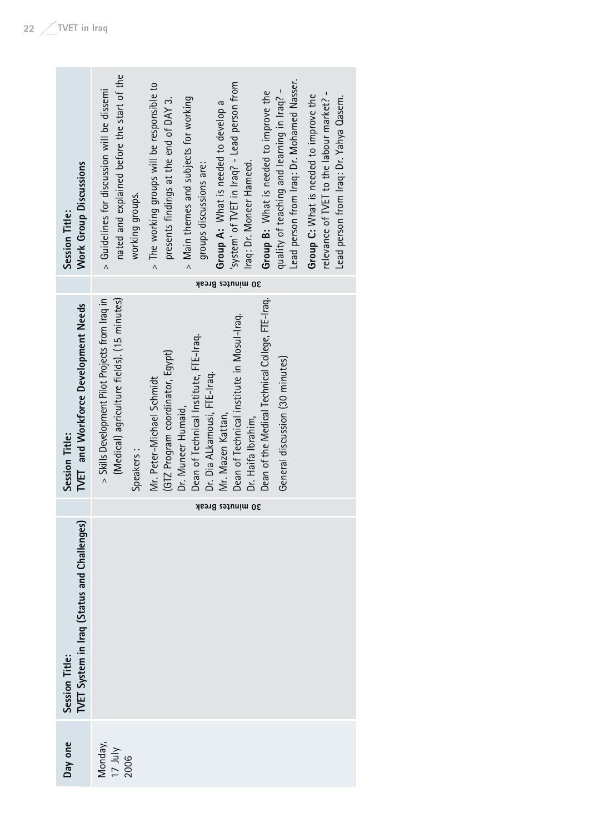| <b>Work Group Discussions</b><br>Session Title:               | nated and explained before the start of the<br>Lead person from Iraq: Dr. Mohamed Nasser.<br>system' of TVET in Iraq? - Lead person from<br>> The working groups will be responsible to<br>> Guidelines for discussion will be dissemi<br>quality of teaching and learning in Iraq? -<br>Group B: What is needed to improve the<br>relevance of TVET to the labour market? -<br>Group C: What is needed to improve the<br>Lead person from Iraq: Dr. Yahya Qasem.<br>> Main themes and subjects for working<br>presents findings at the end of DAY 3.<br>Group A: What is needed to develop a<br>Iraq: Dr. Moneer Hameed.<br>groups discussions are:<br>working groups. |
|---------------------------------------------------------------|-------------------------------------------------------------------------------------------------------------------------------------------------------------------------------------------------------------------------------------------------------------------------------------------------------------------------------------------------------------------------------------------------------------------------------------------------------------------------------------------------------------------------------------------------------------------------------------------------------------------------------------------------------------------------|
|                                                               | minutes Break<br>Oε                                                                                                                                                                                                                                                                                                                                                                                                                                                                                                                                                                                                                                                     |
| <b>TVET</b> and Workforce Development Needs<br>Session Title: | Dean of the Medical Technical College, FTE-Iraq.<br>(Medical) agriculture fields). (15 minutes)<br>> Skills Development Pilot Projects from Iraq in<br>Dean of Technical institute in Mosul-Iraq.<br>Dean of Technical Institute, FTE-Iraq.<br>(GTZ Program coordinator, Egypt)<br>General discussion (30 minutes)<br>Dr. Dia ALkamousi, FTE-Iraq.<br>Mr. Peter-Michael Schmidt<br>Dr. Muneer Humaid,<br>Mr. Mazen Kattan,<br>Dr. Haifa Ibrahim,<br>Speakers:                                                                                                                                                                                                           |
|                                                               | minutes Break<br>0 <sup>ε</sup>                                                                                                                                                                                                                                                                                                                                                                                                                                                                                                                                                                                                                                         |
| TVET System in Iraq (Status and Challenges)<br>Session Title: |                                                                                                                                                                                                                                                                                                                                                                                                                                                                                                                                                                                                                                                                         |
| Day one                                                       | Monday,<br>17 July<br>2006                                                                                                                                                                                                                                                                                                                                                                                                                                                                                                                                                                                                                                              |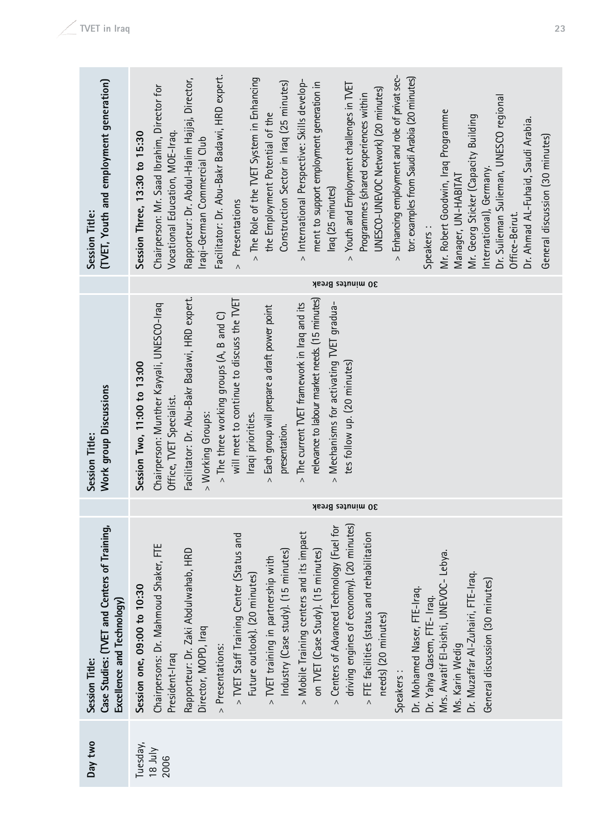| (TVET, Youth and employment generation)<br>Session Title:                                    | Facilitator: Dr. Abu-Bakr Badawi, HRD expert.<br>> Enhancing employment and role of privat sec-<br>tor: examples from Saudi Arabia (20 minutes)<br>Rapporteur: Dr. Abdul-Halim Hajjaj, Director,<br>> The Role of the TVET System in Enhancing<br>> International Perspective: Skills develop-<br>Construction Sector in Iraq (25 minutes)<br>ment to support employment generation in<br>Youth and Employment challenges in TVET<br>Chairperson: Mr. Saad Ibrahim, Director for<br>UNESCO-UNEVOC Network) (20 minutes)<br>Programmes (shared experiences within<br>Dr. Sulieman Sulieman, UNESCO regional<br>Mr. Robert Goodwin, Iraq Programme<br>the Employment Potential of the<br>Mr. Georg Sticker (Capacity Building<br>Dr. Ahmad AL-Fuhaid, Saudi Arabia.<br>Vocational Education, MOE-Iraq.<br>Session Three, 13:30 to 15:30<br>General discussion (30 minutes)<br>Iraqi-German Commercial Club<br>International), Germany.<br>Manager, UN-HABITAT<br>Iraq (25 minutes)<br>Presentations<br>Office-Beirut.<br>Speakers:<br>$\wedge$<br>$\lambda$ |
|----------------------------------------------------------------------------------------------|-----------------------------------------------------------------------------------------------------------------------------------------------------------------------------------------------------------------------------------------------------------------------------------------------------------------------------------------------------------------------------------------------------------------------------------------------------------------------------------------------------------------------------------------------------------------------------------------------------------------------------------------------------------------------------------------------------------------------------------------------------------------------------------------------------------------------------------------------------------------------------------------------------------------------------------------------------------------------------------------------------------------------------------------------------------|
|                                                                                              | 30 minutes Break                                                                                                                                                                                                                                                                                                                                                                                                                                                                                                                                                                                                                                                                                                                                                                                                                                                                                                                                                                                                                                          |
| <b>Work group Discussions</b><br>Session Title:                                              | Facilitator: Dr. Abu-Bakr Badawi, HRD expert.<br>will meet to continue to discuss the TVET<br>relevance to labour market needs. (15 minutes)<br>Chairperson: Munther Kayyali, UNESCO-Iraq<br>> Mechanisms for activating TVET gradua-<br>The current TVET framework in Iraq and its<br>> Each group will prepare a draft power point<br>> The three working groups (A, B and C)<br>Session Two, 11:00 to 13:00<br>tes follow up. (20 minutes)<br>Office, TVET Specialist.<br>> Working Groups:<br>Iraqi priorities.<br>presentation.<br>$\wedge$                                                                                                                                                                                                                                                                                                                                                                                                                                                                                                          |
|                                                                                              | 30 minutes Break                                                                                                                                                                                                                                                                                                                                                                                                                                                                                                                                                                                                                                                                                                                                                                                                                                                                                                                                                                                                                                          |
| Case Studies: [TVET and Centers of Training,<br>Excellence and Technology)<br>Session Title: | driving engines of economy). (20 minutes)<br>> Centers of Advanced Technology (Fuel for<br>> Mobile Training centers and its impact<br>> FTE facilities (status and rehabilitation<br>> TVET Staff Training Center (Status and<br>Chairpersons: Dr. Mahmoud Shaker, FTE<br>Rapporteur: Dr. Zaki Abdulwahab, HRD<br>Industry (Case study). (15 minutes)<br>on TVET (Case Study). (15 minutes)<br>Mrs. Awatif El-bishti, UNEVOC- Lebya.<br>> TVET training in partnership with<br>Dr. Muzaffar Al-Zuhairi, FTE-Iraq.<br>Future outlook). (20 minutes)<br>General discussion (30 minutes)<br>Session one, 09:00 to 10:30<br>Dr. Mohamed Naser, FTE-Iraq.<br>Dr. Yahya Qasem, FTE- Iraq.<br>needs) (20 minutes)<br>Director, MOPD, Iraq<br>Ms. Karin Wediq<br>> Presentations:<br>President-Iraq<br>Speakers:                                                                                                                                                                                                                                                 |
| Day two                                                                                      | Tuesday,<br>VINT <sub>81</sub><br>2006                                                                                                                                                                                                                                                                                                                                                                                                                                                                                                                                                                                                                                                                                                                                                                                                                                                                                                                                                                                                                    |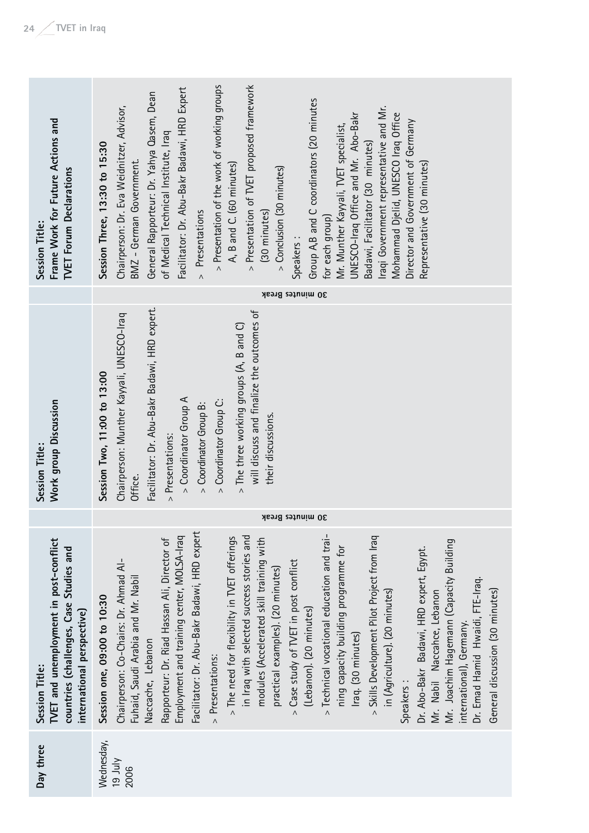| Frame Work for Future Actions and<br><b>TVET Forum Declarations</b><br>Session Title:                                             | > Presentation of TVET proposed framework<br>> Presentation of the work of working groups<br>Facilitator: Dr. Abu-Bakr Badawi, HRD Expert<br>General Rapporteur: Dr. Yahya Qasem, Dean<br>Group A,B and C coordinators (20 minutes<br>Chairperson: Dr. Eva Weidnitzer, Advisor,<br>Iraqi Government representative and Mr.<br>Mohammad Djelid, UNESCO Iraq Office<br>UNESCO-Iraq Office and Mr. Abo-Bakr<br>Director and Government of Germany<br>Mr. Munther Kayyali, TVET specialist,<br>of Medical Technical Institute, Iraq<br>Badawi, Facilitator (30 minutes)<br>Session Three, 13:30 to 15:30<br>BMZ - German Government.<br>Representative (30 minutes)<br>A, B and C. (60 minutes)<br>> Conclusion (30 minutes)<br>> Presentations<br>(30 minutes)<br>for each group)<br>Speakers:                                                                                                                                                                                                   |  |  |  |  |
|-----------------------------------------------------------------------------------------------------------------------------------|-----------------------------------------------------------------------------------------------------------------------------------------------------------------------------------------------------------------------------------------------------------------------------------------------------------------------------------------------------------------------------------------------------------------------------------------------------------------------------------------------------------------------------------------------------------------------------------------------------------------------------------------------------------------------------------------------------------------------------------------------------------------------------------------------------------------------------------------------------------------------------------------------------------------------------------------------------------------------------------------------|--|--|--|--|
|                                                                                                                                   | 30 minutes Break                                                                                                                                                                                                                                                                                                                                                                                                                                                                                                                                                                                                                                                                                                                                                                                                                                                                                                                                                                              |  |  |  |  |
| <b>Work group Discussion</b><br>Session Title:                                                                                    | Facilitator: Dr. Abu-Bakr Badawi, HRD expert.<br>will discuss and finalize the outcomes of<br>Chairperson: Munther Kayyali, UNESCO-Iraq<br>> The three working groups (A, B and C)<br>Session Two, 11:00 to 13:00<br>> Coordinator Group A<br>> Coordinator Group C:<br>> Coordinator Group B:<br>their discussions.<br>> Presentations:<br>Office.                                                                                                                                                                                                                                                                                                                                                                                                                                                                                                                                                                                                                                           |  |  |  |  |
|                                                                                                                                   | 30 minutes Break                                                                                                                                                                                                                                                                                                                                                                                                                                                                                                                                                                                                                                                                                                                                                                                                                                                                                                                                                                              |  |  |  |  |
| TVET and unemployment in post-conflict<br>countries (challenges, Case Studies and<br>international perspective)<br>Session Title: | Facilitator: Dr. Abu-Bakr Badawi, HRD expert<br>> Technical vocational education and trai-<br>Skills Development Pilot Project from Iraq<br>Employment and training center, MOLSA-Iraq<br>in Iraq with selected success stories and<br>> The need for flexibility in TVET offerings<br>Rapporteur: Dr. Riad Hassan Ali, Director of<br>modules (Accelerated skill training with<br>Mr. Joachim Hagemann (Capacity Building<br>ning capacity building programme for<br>Dr. Abo-Bakr Badawi, HRD expert, Egypt.<br>> Case study of TVET in post conflict<br>Chairperson: Co-Chairs: Dr. Ahmad Al-<br>practical examples). (20 minutes)<br>Fuhaid, Saudi Arabia and Mr. Nabil<br>Dr. Emad Hamid Hwaidi, FTE-Iraq.<br>in (Agriculture). (20 minutes)<br>General discussion (30 minutes)<br>Mr. Nabil Naccahce, Lebanon<br>Session one, 09:00 to 10:30<br>(Lebanon). (20 minutes)<br>nternational), Germany.<br>Iraq. (30 minutes)<br>Naccache, Lebanon<br>Presentations:<br>Speakers:<br>$\wedge$ |  |  |  |  |
| Day three                                                                                                                         | Wednesday,<br>VInf 61<br>2006                                                                                                                                                                                                                                                                                                                                                                                                                                                                                                                                                                                                                                                                                                                                                                                                                                                                                                                                                                 |  |  |  |  |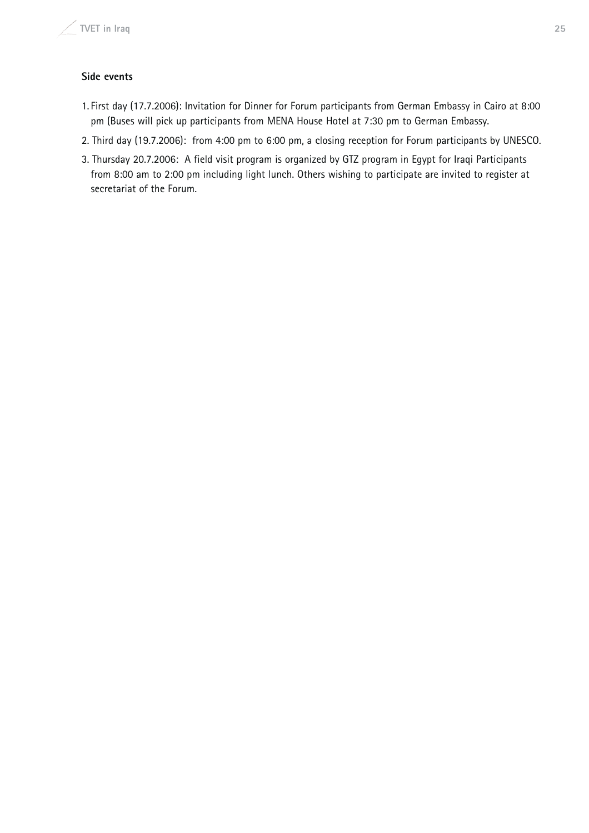#### **Side events**

- 1. First day (17.7.2006): Invitation for Dinner for Forum participants from German Embassy in Cairo at 8:00 pm (Buses will pick up participants from MENA House Hotel at 7:30 pm to German Embassy.
- 2. Third day (19.7.2006): from 4:00 pm to 6:00 pm, a closing reception for Forum participants by UNESCO.
- 3. Thursday 20.7.2006: A field visit program is organized by GTZ program in Egypt for Iraqi Participants from 8:00 am to 2:00 pm including light lunch. Others wishing to participate are invited to register at secretariat of the Forum.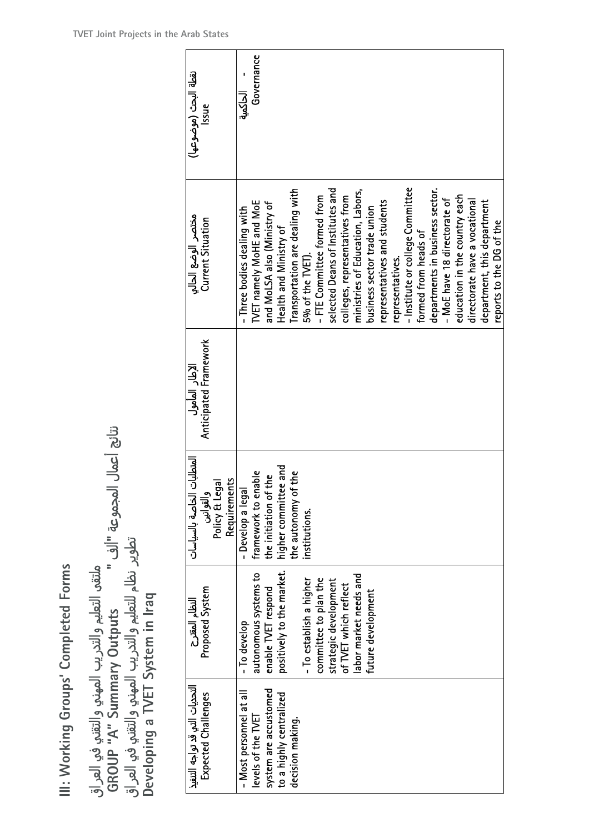III: Working Groups' Completed Forms **III: Working Groups' Completed Forms** 

وي العراق<br>ر والتقني ريب المهن<u>ي</u> و<br>التد ملتقى التعليم ہے۔<br>ا نتائج أعمال المجمو \_<br>وا  **GROUP "A" Summary Outputs** وي العراق<br>م والتقنبي ريب المهن<u>ي</u> و<br>التد تطوير نظام للتعلي<u>م</u> **Developing a TVET System in Iraq**

| التحديات التي قد تواجه التنفيذ | ألنظام المقترح            | <u>المتطلبات ال</u> خاصة بالسياسات     | الإطار المأمول        | مختصر الوضع الحالي               | نقطة البحث (موضوعها) |
|--------------------------------|---------------------------|----------------------------------------|-----------------------|----------------------------------|----------------------|
| Expected Challenges            | Proposed System           | Policy & Legal<br>والقوانين            | Anticipated Framework | <b>Current Situation</b>         | <b>Issue</b>         |
|                                |                           | Requirements                           |                       |                                  |                      |
| - Most personnel at all        | - To develop              | - Develop a legal                      |                       | - Three bodies dealing with      | الحاكمية             |
| levels of the TVET             | autonomous systems to     | framework to enable                    |                       | TVET namely MoHE and MoE         | Governance           |
| system are accustomed          | enable TVET respond       | e<br>£<br>the initiation of 1          |                       | and MoLSA also (Ministry of      |                      |
| to a highly centralized        | positively to the market. | higher committee and                   |                       | Health and Ministry of           |                      |
| decision making.               |                           | e4<br><del>ما</del><br>the autonomy of |                       | Transportation are dealing with  |                      |
|                                | - To establish a higher   | institutions.                          |                       | 5% of the TVET).                 |                      |
|                                | committee to plan the     |                                        |                       | - FTE Committee formed from      |                      |
|                                | strategic development     |                                        |                       | selected Deans of Institutes and |                      |
|                                | of TVET which reflect     |                                        |                       | colleges, representatives from   |                      |
|                                | labor market needs and    |                                        |                       | ministries of Education, Labors, |                      |
|                                | future development        |                                        |                       | business sector trade union      |                      |
|                                |                           |                                        |                       | representatives and students     |                      |
|                                |                           |                                        |                       | representatives.                 |                      |
|                                |                           |                                        |                       | - Institute or college Committee |                      |
|                                |                           |                                        |                       | formed from heads of             |                      |
|                                |                           |                                        |                       | departments in business sector.  |                      |
|                                |                           |                                        |                       | - MoE have 18 directorate of     |                      |
|                                |                           |                                        |                       | education in the country each    |                      |
|                                |                           |                                        |                       | directorate have a vocational    |                      |
|                                |                           |                                        |                       | department, this department      |                      |
|                                |                           |                                        |                       | reports to the DG of the         |                      |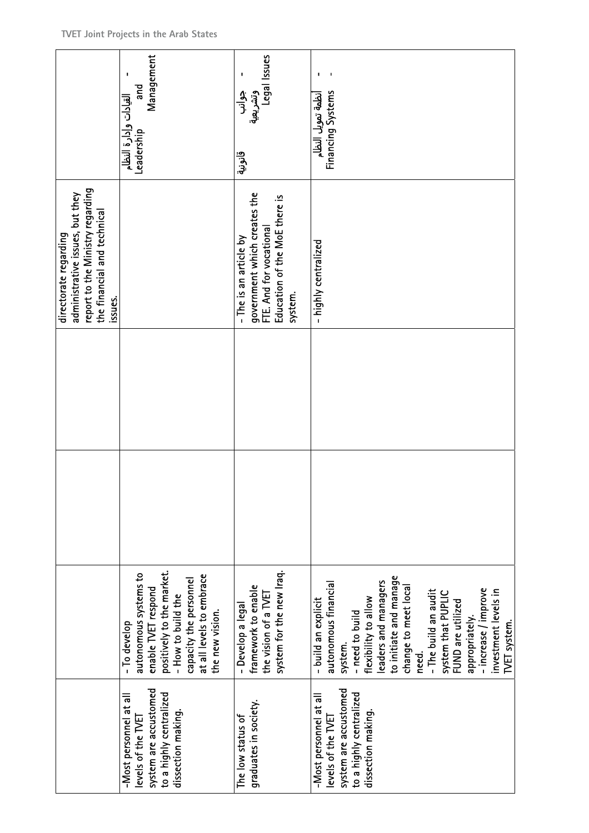|                                               |                                                 | administrative issues, but they<br>directorate regarding        |                                                   |
|-----------------------------------------------|-------------------------------------------------|-----------------------------------------------------------------|---------------------------------------------------|
|                                               |                                                 | report to the Ministry regarding<br>the financial and technical |                                                   |
|                                               |                                                 | issues                                                          |                                                   |
| -Most personnel at all<br>levels of the TVET  | autonomous systems to<br>- To develop           |                                                                 | J.<br>and<br>القيادات وإدارة النظام<br>Leadership |
| system are accustomed                         | enable TVET respond                             |                                                                 | Management                                        |
| to a highly centralized<br>dissection making. | positively to the market.<br>- How to build the |                                                                 |                                                   |
|                                               | capacity the personnel                          |                                                                 |                                                   |
|                                               | at all levels to embrace                        |                                                                 |                                                   |
|                                               | the new vision.                                 |                                                                 |                                                   |
| The low status of                             | - Develop a legal                               | - The is an article by                                          | ı<br>ي<br>آ<br>قانونية                            |
| graduates in society.                         | framework to enable                             | government which creates the                                    | ونشريعية                                          |
|                                               | the vision of a TVET                            | FTE. And for vocational                                         | Legal Issues                                      |
|                                               | system for the new Iraq.                        | Education of the MoE there is                                   |                                                   |
|                                               |                                                 | system.                                                         |                                                   |
| -Most personnel at all                        | - build an explicit                             | - highly centralized                                            | J.<br>أنظمة تمويل النظام                          |
| levels of the TVET                            | autonomous financial                            |                                                                 | $\mathbf{I}$<br>Financing Systems                 |
| system are accustomed                         | system.                                         |                                                                 |                                                   |
| to a highly centralized                       | - need to build                                 |                                                                 |                                                   |
| dissection making.                            | flexibility to allow                            |                                                                 |                                                   |
|                                               | leaders and managers                            |                                                                 |                                                   |
|                                               | to initiate and manage                          |                                                                 |                                                   |
|                                               | change to meet local                            |                                                                 |                                                   |
|                                               | need.                                           |                                                                 |                                                   |
|                                               | - The build an audit                            |                                                                 |                                                   |
|                                               | system that PUPLIC                              |                                                                 |                                                   |
|                                               | FUND are utilized                               |                                                                 |                                                   |
|                                               | appropriately.                                  |                                                                 |                                                   |
|                                               | - increase / improve                            |                                                                 |                                                   |
|                                               | investment levels in                            |                                                                 |                                                   |
|                                               | <b>IVET</b> system.                             |                                                                 |                                                   |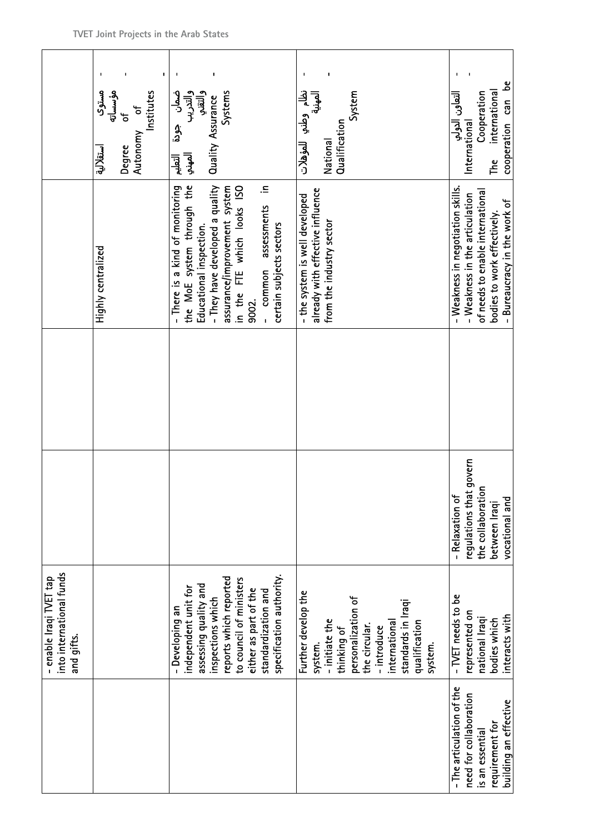|                                                                   | ı<br>п.<br>مۇسساتە<br>مستوی<br>Institutes<br>ð<br>ჼ<br>Autonomy<br>Degree<br>استقلالية | ı<br>J,<br>Systems<br>والتدريب<br>والتقني<br>فعان<br>م<br>Quality Assurance<br>جودة<br>المهني<br>التعليم                                                                                                                                                      | 1<br>п<br>System<br>نظام وطنب ا<br>المهنية<br>Qualification<br>National<br>للمؤهلات                                                                                                      | J.<br>٠<br>ತೆ<br>ಅ<br>international<br>Cooperation<br>التعاون الدولب<br>cooperation can<br>International<br>۳he<br>The                                              |
|-------------------------------------------------------------------|----------------------------------------------------------------------------------------|---------------------------------------------------------------------------------------------------------------------------------------------------------------------------------------------------------------------------------------------------------------|------------------------------------------------------------------------------------------------------------------------------------------------------------------------------------------|---------------------------------------------------------------------------------------------------------------------------------------------------------------------|
|                                                                   | Highly centralized                                                                     | the MoE system through the<br>in the FTE which looks ISO<br>크.<br>- They have developed a quality<br>- There is a kind of monitoring<br>assurance/improvement system<br>assessments<br>certain subjects sectors<br>Educational inspection.<br>common<br>9002. | already with effective influence<br>- the system is well developed<br>from the industry sector                                                                                           | - Weakness in negotiation skills.<br>of needs to enable international<br>- Weakness in the articulation<br>Bureaucracy in the work of<br>bodies to work effectively |
|                                                                   |                                                                                        |                                                                                                                                                                                                                                                               |                                                                                                                                                                                          |                                                                                                                                                                     |
|                                                                   |                                                                                        |                                                                                                                                                                                                                                                               |                                                                                                                                                                                          | regulations that govern<br>the collaboration<br>- Relaxation of<br>vocational and<br>between Iraqi                                                                  |
| into international funds<br>- enable Iraqi TVET tap<br>and gifts. |                                                                                        | specification authority.<br>reports which reported<br>to council of ministers<br>assessing quality and<br>independent unit for<br>either as part of the<br>standardization and<br>inspections which<br>- Developing an                                        | Further develop the<br>personalization of<br>standards in Iraqi<br>- initiate the<br>international<br>qualification<br>the circular.<br>- introduce<br>thinking of<br>system.<br>system. | - TVET needs to be<br>represented on<br>interacts with<br>national Iraqi<br>bodies which                                                                            |
|                                                                   |                                                                                        |                                                                                                                                                                                                                                                               |                                                                                                                                                                                          | - The articulation of the<br>need for collaboration<br>building an effective<br>requirement for<br>is an essential                                                  |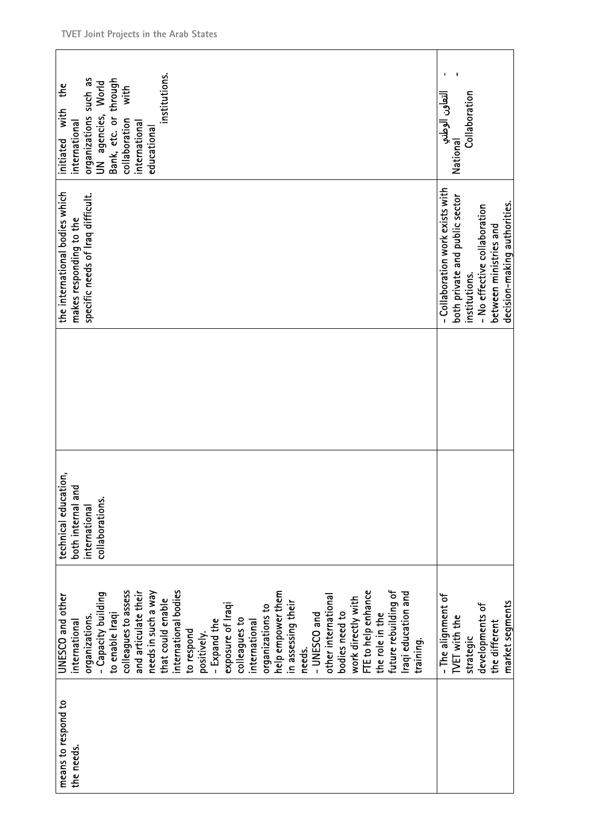| means to respond to<br>the needs. | international bodies<br>colleagues to assess<br>help empower them<br>needs in such a way<br>and articulate their<br>- Capacity building<br>UNESCO and other<br>that could enable<br>in assessing their<br>exposure of Iraqi<br>organizations to<br>to enable Iraqi<br>organizations.<br>colleagues to<br>- Expand the<br>international<br>international<br>to respond<br>positively. | technical education,<br>겯<br>both internal a<br>collaborations.<br>international | the international bodies which<br>specific needs of Iraq difficult.<br>makes responding to the | institutions.<br>organizations such as<br>Bank, etc. or through<br>World<br>the<br>with<br>with<br>agencies,<br>collaboration<br>international<br>international<br>educational<br>initiated<br>$\leq$ |
|-----------------------------------|--------------------------------------------------------------------------------------------------------------------------------------------------------------------------------------------------------------------------------------------------------------------------------------------------------------------------------------------------------------------------------------|----------------------------------------------------------------------------------|------------------------------------------------------------------------------------------------|-------------------------------------------------------------------------------------------------------------------------------------------------------------------------------------------------------|
|                                   | FTE to help enhance<br>future rebuilding of<br>Iraqi education and<br>other international<br>work directly with<br>bodies need to<br>- UNESCO and<br>the role in the<br>training.<br>needs.                                                                                                                                                                                          |                                                                                  |                                                                                                |                                                                                                                                                                                                       |
|                                   | - The alignment of<br>TVET with the                                                                                                                                                                                                                                                                                                                                                  |                                                                                  | - Collaboration work exists with<br>both private and public sector                             | $\mathbf I$<br>ı<br>التعاون الوطني<br>National                                                                                                                                                        |
|                                   | strategic                                                                                                                                                                                                                                                                                                                                                                            |                                                                                  | institutions.                                                                                  | Collaboration                                                                                                                                                                                         |
|                                   | developments of<br>the different                                                                                                                                                                                                                                                                                                                                                     |                                                                                  | - No effective collaboration<br>between ministries and                                         |                                                                                                                                                                                                       |
|                                   | market segments                                                                                                                                                                                                                                                                                                                                                                      |                                                                                  | decision-making authorities.                                                                   |                                                                                                                                                                                                       |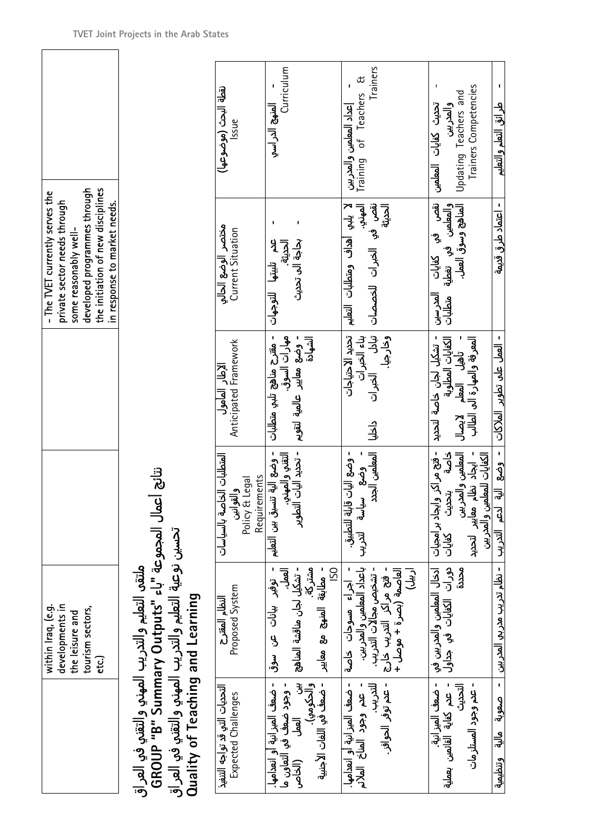| - The TVET currently serves the | private sector needs through | some reasonably well- | developed programmes through | the initiation of new disciplines | in response to market needs. |
|---------------------------------|------------------------------|-----------------------|------------------------------|-----------------------------------|------------------------------|
|                                 |                              |                       |                              |                                   |                              |
| ithin Iraq, le.                 | velopment                    | the leisure and       | courism sector               | $\frac{c}{\sigma}$                |                              |

# ملتقه التعليم والتدريب المهني والتقني في العراق<br>GROUP "B" Summary Outputs" التعليم والتدريب المهني والتقني في العراق<br>Quality of Teaching and Learning

| نقطة البحث (موضوعها)<br>Issue                                             | Curriculum                                                                                                                                                                                            | Trainers<br>Training of Teachers &<br>إعداد المعلمين والمدربين                                                     | Trainers Competencies<br>Updating Teachers and<br>تحديث كفايات المعلمين<br>والمدربين                                                                                                                                                                   | - طرائق التعلم والتعليم                                                                                            |
|---------------------------------------------------------------------------|-------------------------------------------------------------------------------------------------------------------------------------------------------------------------------------------------------|--------------------------------------------------------------------------------------------------------------------|--------------------------------------------------------------------------------------------------------------------------------------------------------------------------------------------------------------------------------------------------------|--------------------------------------------------------------------------------------------------------------------|
| مختصر الوضع الحالب<br>Current Situation                                   | عدم تلبيتها للتوجهات<br>بحاجة الى تحديث<br>الحشة                                                                                                                                                      | لا يلبي أهداف ومتطلبات التعليم   تحديد الاحتياجات<br>نقص فه الخبرات للخصصات أتبادل الخبرات<br>الحنيثة<br>المهني.   | ا نقص في كفايات المدرسين<br>والمعلمين في تغطية متطلبات<br>المناهج وسوق العمل.                                                                                                                                                                          | - اعتماد طرق قديمة                                                                                                 |
| Anticipated Framework<br>الإطار المأمول                                   | - مقترح مناهج تلبب متطلبات<br>مهارات السوق<br>- وضع معايير عالمية لتقويم<br>الشهادة                                                                                                                   | بناء الخرات<br>وخارجيا.                                                                                            | المعرفة والمهارة الماالب                                                                                                                                                                                                                               |                                                                                                                    |
| المتطلبات الخاصة بالسياسات<br>Requirements<br>Policy & Legal<br>والقوانين | - تحديد اليات التطوير<br>– وضع الية تنسيق بين التعليم<br>التقدي والمهنب                                                                                                                               | اخليا   المعلمين الجدد<br>داخليا   المعلمين الجدد<br>– وضع اليات قابلة للتطبيق.                                    | - تشكيل لجان خاصة لتحديد   -فتح مراكز وايجاد برامجيات  <br>الكفايات المطلوبة<br>فايات المطلوبة<br>تأهيل المعلم لإيصال المعلمين والمدربين كفايات<br>تأهيل المعلم لإيصال المعلمين والمدربين<br>- ايجاد نظام معايير لتحديد<br>الكفايات للمعلمين والمدربين |                                                                                                                    |
| Proposed System<br>النظام المقترح                                         | – توفير بيانات عن سوق <mark>  - صعف الميزانية أو انعدامها.</mark><br>العمل.<br>- تشكيل لجان مناقشة المناهج<br>مشتركة.<br>- مطابقة المنهج مع معايير   - ضعف في اللغات الأجنبية<br>-<br>$\overline{50}$ | باعداد المعلمين والمدربين.<br>- تشخيص مجالات التدريب.<br>- فتح مراكز التديب خارج<br>اریل<br>العاصمة (بصرة + موصل + | ادخال المعلمين والمدربين فها – ضعف الميزانية.<br>دورات الكفايات فها جداول – عمم كفاية القائمين بعملية<br>محدة                                                                                                                                          | - العمل على تطوير الملاكات   -  وضع الية لدعم التدريب   - نظام تدريب مدربه المدربين   -   صعوبة   مالية   وتنظيمية |
| التحديات التي قد تو احه التنفيذ<br>Expected Challenges                    | بين العمل (الخاص<br>– وجود صعف في التعاون ما                                                                                                                                                          | اجراء مسوحات حاصة   - ضعف الميزانية او انعدامها.<br>التدرين<br>- عد توفر الحوافر.<br>- عدم وجود المناخ الملائم     | - عدم وجود المستلزمات<br>التحديث                                                                                                                                                                                                                       |                                                                                                                    |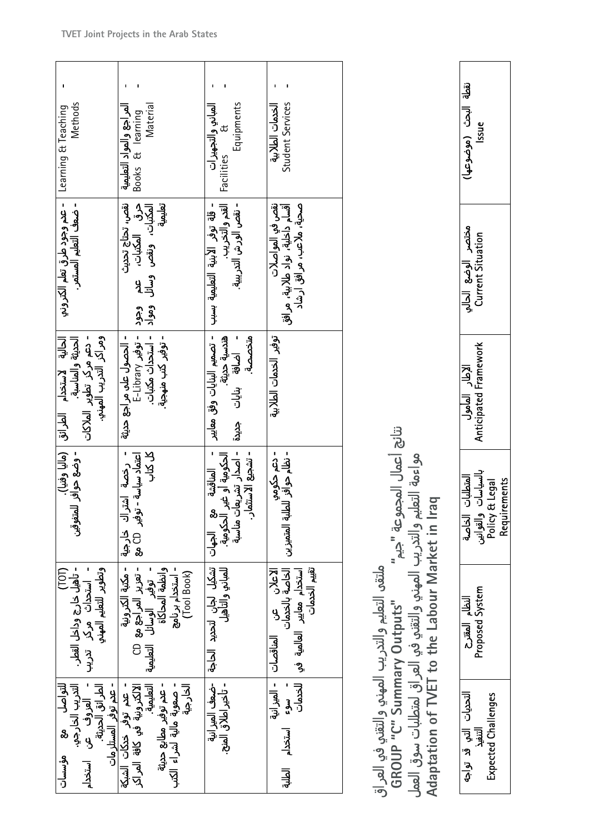| п<br>Methods<br>Learning & Teaching                                                                                     | Material<br>المراجع والمواد التعليمية<br>& learning<br><b>Books</b>                                                                        | Equipments<br>المباني والتجهيز ات<br>Facilities                                                                                 | Student Services<br>الحمات الطلابية                                                                          |                                                                                                                                                                                                        | تقلة<br>البحث (موضوعها)<br><b>Ssue</b>                                          |
|-------------------------------------------------------------------------------------------------------------------------|--------------------------------------------------------------------------------------------------------------------------------------------|---------------------------------------------------------------------------------------------------------------------------------|--------------------------------------------------------------------------------------------------------------|--------------------------------------------------------------------------------------------------------------------------------------------------------------------------------------------------------|---------------------------------------------------------------------------------|
| - عدم وجود طرق تعلم الكتروني<br>- ضعف التعليم المستمر.                                                                  | نقص، تحتاج تحديث<br>تعليمية<br>حرق المتنبت، <sub>عدم</sub><br>المكتبات، ونقص وسائل<br>المكتبات،<br>ومواد<br>وجود                           | - نقص الورش التدريبية.<br>القدم والتحريب<br>قلة توفر الأبنية التعليمية بسبب                                                     | صحية، ملاعب، مرافق ارشاد<br>نقص في المواصلات<br>اقسام داخلية، نواد طلابية، مرافق                             |                                                                                                                                                                                                        | مختصر<br><b>Current Situation</b><br>الوضع الحالي                               |
| - دعم مرَکز تطویر الملاکات<br>ومراکز التدریب المهنو،<br>الحديثة والمناسبة.<br>الحالية<br>لاستخدام الطرائق               | ı<br>– توفیر <sub>K</sub> ary –∃<br>- توفير كتب منهجية.<br>- الحصول على مراجع حديثة<br>استحداث مكتبات.                                     | - تصميم البنايات وفق معايير<br>متخصصة<br>هندسية حديته.<br>إضافة<br>سايات جديدة                                                  | توفير الخدمات الطلابية                                                                                       |                                                                                                                                                                                                        | Anticipated Framework<br>الإطار<br>المامول                                      |
| (ماليا وفنيا).<br>- وضع حوافر ا<br>للمتفوقين                                                                            | کل اکا<br>اعتماد سياسة - توفير   CD  مع<br>.<br>أقل<br>اشراك<br>خارجة                                                                      | الحكومية أو غير الحكومية.<br>  - اصدار تشريعات مناسبة<br>- تشجيع الاستنمار.<br>المناقسة<br>ى<br>الحكومية.<br>ته:<br>الجهان<br>ر | - دعم حكومي<br>- نظام حوافز للطلبة المتميزين                                                                 | نتائج أعمال المجموعة "جيم"<br>$\overline{\mathbf{C}}$                                                                                                                                                  | بالسياسات<br>المتطلبات<br>Policy & Legal<br>Requirements<br>والقوانين<br>الخاصة |
| (TOTT)<br>- تأهيل خارج وداخل القطر.<br>- تأهيل خارج وداخل القطر.<br>وتطوير للتعليم المهنب<br>استحداث مرکز تدریب         | - تعزيز المراجع مع<br>– مكتبة الكترونية<br>- استخدام برنامج<br>ا - توفير الوسائل<br>وانظمة المحاكاة<br>-<br>(Tool Book)<br>ට්<br>التعليمية | تشكيل لجان لتحديد الحاجة<br>للمباني والتأهيل                                                                                    | تقييم الخدمات<br>الاعلان عن<br>الخاصة بالخيمات<br>الخاصة بالخيمات<br>استخدام معايير العالمية في<br>المناقصات |                                                                                                                                                                                                        | Proposed System<br>النطام المقترح                                               |
| <u>- عد توفر المستلزمات</u><br>- العزوف عن<br>الطرائق الحديثة.<br>التدريب الخارجي.<br>اتو اصل<br>g,<br>ھۇسلت<br>أستحدام | الخارجية<br>الالكترونية في كافة المراكز<br>- عدم توفير مطابع حديثة<br>التعليميه.<br>- صعوبة مالية لشراء الكتب<br>ىد<br>توفر<br>خكات الشبكة | - تأخير اطلاق المنح.<br>-ضعف الميزانية                                                                                          | الخدمات<br>- الميزانية<br>سوء استخدام الطلبة                                                                 | مواءمة التعليم والتدريب المهني والتقني في العراق لمتطلبات سوق العمل<br>Adaptation of TVET to the Labour Market in Ira<br>ملتقه التعليم والتدريب المهني والتقني في العراق<br>GROUP "C" Summary Outputs" | التحديات التي قد تواجه<br>Expected Challenges<br>التنفيذ                        |

| نقطة البحث (موضوعها              | ssue                                              |
|----------------------------------|---------------------------------------------------|
| مختصر الوضع الحالم               | <b>Jurrent Situation</b>                          |
| <u>کو</u><br>القامور             | ticipated Framewor                                |
| ون<br>إ<br>اڌ                    | Legal<br>men<br>Policy &<br>Requirer<br>والقوانيز |
| النظام المقترح                   | roposed System                                    |
| أتحديات<br>う<br>へ<br>9 تو¦<br>:∫ | xpected Challeng<br>التنفيذ                       |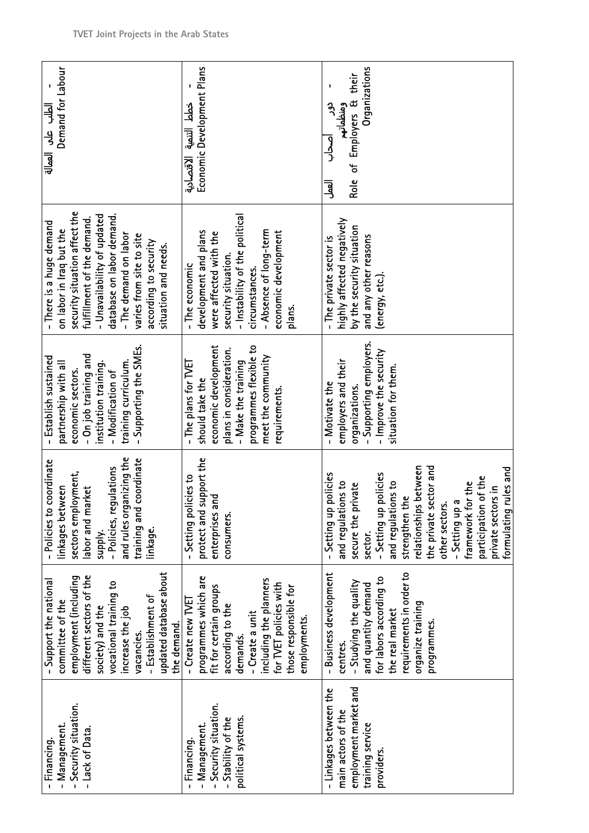| Demand for Labour<br>الطلب على العمالة                                                                                                                                                                                                                                                | Economic Development Plans<br>خطط التنمية الاقتصادية                                                                                                                                                                | Organizations<br>Role of Employers & their<br>دور<br>ومنظماتهم<br>او<br>جاب<br>العل                                                                                                                                                                                                                                                 |
|---------------------------------------------------------------------------------------------------------------------------------------------------------------------------------------------------------------------------------------------------------------------------------------|---------------------------------------------------------------------------------------------------------------------------------------------------------------------------------------------------------------------|-------------------------------------------------------------------------------------------------------------------------------------------------------------------------------------------------------------------------------------------------------------------------------------------------------------------------------------|
| security situation affect the<br>- Unavailability of updated<br>database on labor demand.<br>fulfillment of the demand.<br>- There is a huge demand<br>on labor in Iraq but the<br>- The demand on labor<br>varies from site to site<br>according to security<br>situation and needs. | - Instability of the political<br>- Absence of long-term<br>development and plans<br>economic development<br>were affected with the<br>security situation.<br>- The economic<br>circumstances.<br>plans.            | highly affected negatively<br>by the security situation<br>and any other reasons<br>- The private sector is<br>(energy, etc.)                                                                                                                                                                                                       |
| Supporting the SMEs.<br>- On job training and<br>- Establish sustained<br>training curriculum.<br>partnership with all<br>institution training.<br>economic sectors.<br>- Modification of                                                                                             | economic development<br>programmes flexible to<br>plans in consideration.<br>meet the community<br>- Make the training<br>- The plans for TVET<br>should take the<br>requirements.                                  | - Supporting employers.<br>- Improve the security<br>employers and their<br>situation for them.<br>- Motivate the<br>organizations.                                                                                                                                                                                                 |
| and rules organizing the<br>training and coordinate<br>coordinate<br>- Policies, regulations<br>sectors employment,<br>labor and market<br>linkages between<br>- Policies to<br>linkage.<br>supply.                                                                                   | protect and support the<br>- Setting policies to<br>enterprises and<br>consumers.                                                                                                                                   | relationships between<br>the private sector and<br>formulating rules and<br>policies<br>- Setting up policies<br>participation of the<br>and regulations to<br>and regulations to<br>framework for the<br>secure the private<br>private sectors in<br>strengthen the<br>- Setting up a<br>other sectors.<br>- Setting up<br>sector. |
| updated database about<br>different sectors of the<br>employment (including<br>- Support the national<br>vocational training to<br>- Establishment of<br>committee of the<br>society) and the<br>increase the job<br>the demand.<br>vacancies.                                        | programmes which are<br>including the planners<br>for TVET policies with<br>fit for certain groups<br>those responsible for<br>- Create new TVET<br>according to the<br>- Create a unit<br>employments.<br>demands. | - Business development<br>requirements in order to<br>for labors according to<br>- Studying the quality<br>and quantity demand<br>organize training<br>the real market<br>programmes<br>centres.                                                                                                                                    |
| - Security situation.<br>- Management.<br>- Lack of Data.<br>- Financing.                                                                                                                                                                                                             | - Security situation.<br>political systems.<br>- Stability of the<br>- Management.<br>- Financing.                                                                                                                  | employment market and<br>- Linkages between the<br>main actors of the<br>training service<br>providers.                                                                                                                                                                                                                             |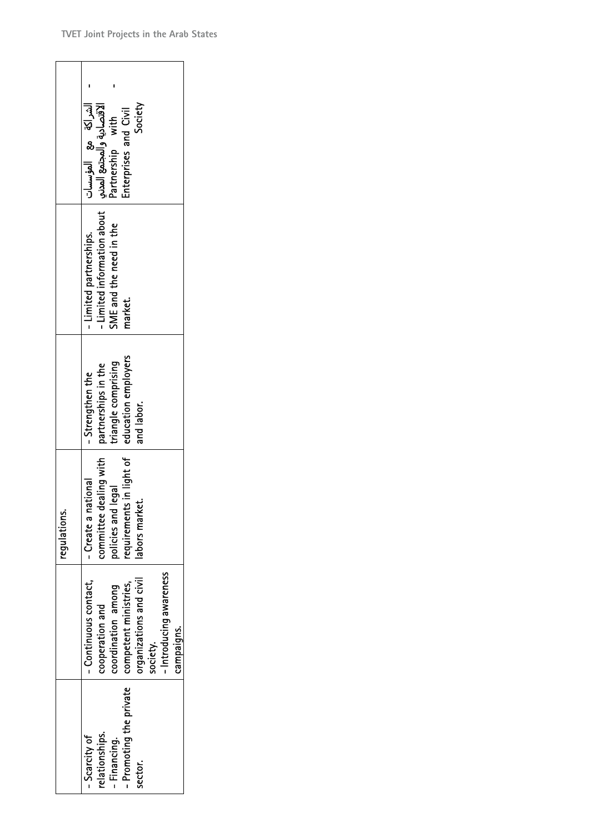|                                                                                      |                                                                                                                                                                         | regulations.                                                                                                      |                                                                                                     |                                                                                              |                                                                                                          |
|--------------------------------------------------------------------------------------|-------------------------------------------------------------------------------------------------------------------------------------------------------------------------|-------------------------------------------------------------------------------------------------------------------|-----------------------------------------------------------------------------------------------------|----------------------------------------------------------------------------------------------|----------------------------------------------------------------------------------------------------------|
| - Promoting the private<br>relationships<br>- Scarcity of<br>- Financing.<br>sector. | - Introducing awareness<br>organizations and civil<br>- Continuous contact,<br>competent ministries,<br>coordination among<br>cooperation and<br>campaigns.<br>society. | committee dealing with<br>requirements in light of<br>policies and legal<br>- Create a national<br>labors market. | education employers<br>triangle comprising<br>partnerships in the<br>- Strengthen the<br>and labor. | - Limited information about<br>SME and the need in the<br>- Limited partnerships.<br>market. | الشراكة مع المؤسسات<br>الاقتصاديةوالمجتمع المدني<br>Society<br>Enterprises and Civil<br>Partnership with |

J.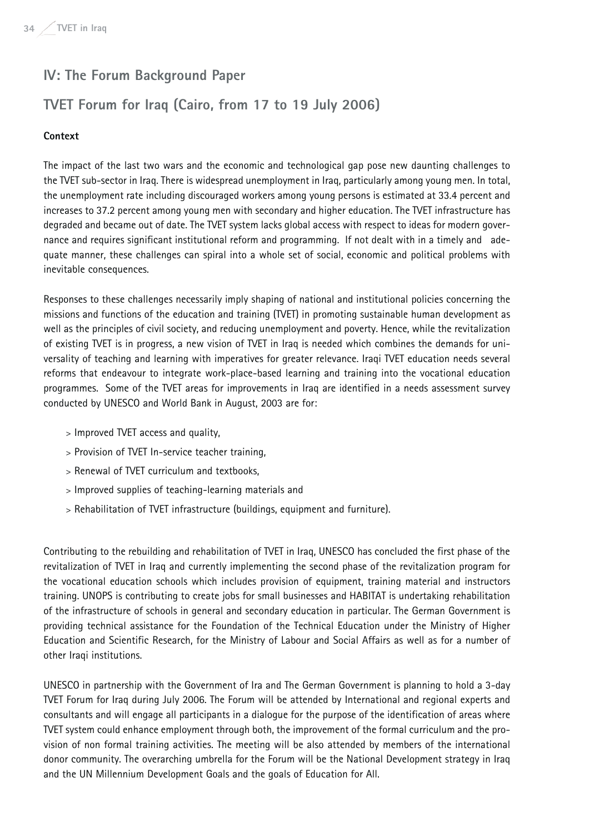# **IV: The Forum Background Paper**

# **TVET Forum for Iraq (Cairo, from 17 to 19 July 2006)**

#### **Context**

The impact of the last two wars and the economic and technological gap pose new daunting challenges to the TVET sub-sector in Iraq. There is widespread unemployment in Iraq, particularly among young men. In total, the unemployment rate including discouraged workers among young persons is estimated at 33.4 percent and increases to 37.2 percent among young men with secondary and higher education. The TVET infrastructure has degraded and became out of date. The TVET system lacks global access with respect to ideas for modern governance and requires significant institutional reform and programming. If not dealt with in a timely and adequate manner, these challenges can spiral into a whole set of social, economic and political problems with inevitable consequences.

Responses to these challenges necessarily imply shaping of national and institutional policies concerning the missions and functions of the education and training (TVET) in promoting sustainable human development as well as the principles of civil society, and reducing unemployment and poverty. Hence, while the revitalization of existing TVET is in progress, a new vision of TVET in Iraq is needed which combines the demands for universality of teaching and learning with imperatives for greater relevance. Iraqi TVET education needs several reforms that endeavour to integrate work-place-based learning and training into the vocational education programmes. Some of the TVET areas for improvements in Iraq are identified in a needs assessment survey conducted by UNESCO and World Bank in August, 2003 are for:

- > Improved TVET access and quality,
- > Provision of TVET In-service teacher training,
- > Renewal of TVET curriculum and textbooks,
- > Improved supplies of teaching-learning materials and
- > Rehabilitation of TVET infrastructure (buildings, equipment and furniture).

Contributing to the rebuilding and rehabilitation of TVET in Iraq, UNESCO has concluded the first phase of the revitalization of TVET in Iraq and currently implementing the second phase of the revitalization program for the vocational education schools which includes provision of equipment, training material and instructors training. UNOPS is contributing to create jobs for small businesses and HABITAT is undertaking rehabilitation of the infrastructure of schools in general and secondary education in particular. The German Government is providing technical assistance for the Foundation of the Technical Education under the Ministry of Higher Education and Scientific Research, for the Ministry of Labour and Social Affairs as well as for a number of other Iraqi institutions.

UNESCO in partnership with the Government of Ira and The German Government is planning to hold a 3-day TVET Forum for Iraq during July 2006. The Forum will be attended by International and regional experts and consultants and will engage all participants in a dialogue for the purpose of the identification of areas where TVET system could enhance employment through both, the improvement of the formal curriculum and the provision of non formal training activities. The meeting will be also attended by members of the international donor community. The overarching umbrella for the Forum will be the National Development strategy in Iraq and the UN Millennium Development Goals and the goals of Education for All.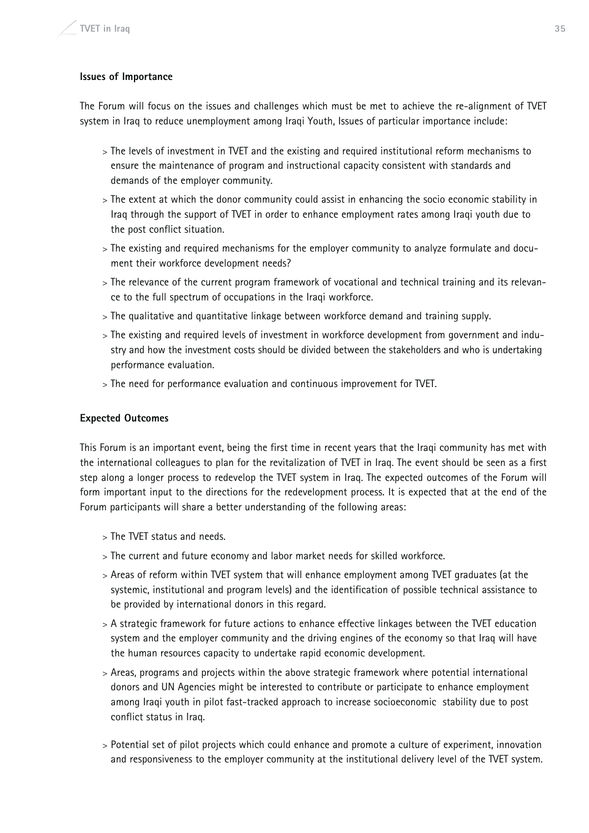#### **Issues of Importance**

The Forum will focus on the issues and challenges which must be met to achieve the re-alignment of TVET system in Iraq to reduce unemployment among Iraqi Youth, Issues of particular importance include:

- > The levels of investment in TVET and the existing and required institutional reform mechanisms to ensure the maintenance of program and instructional capacity consistent with standards and demands of the employer community.
- > The extent at which the donor community could assist in enhancing the socio economic stability in Iraq through the support of TVET in order to enhance employment rates among Iraqi youth due to the post conflict situation.
- > The existing and required mechanisms for the employer community to analyze formulate and document their workforce development needs?
- > The relevance of the current program framework of vocational and technical training and its relevance to the full spectrum of occupations in the Iraqi workforce.
- > The qualitative and quantitative linkage between workforce demand and training supply.
- > The existing and required levels of investment in workforce development from government and industry and how the investment costs should be divided between the stakeholders and who is undertaking performance evaluation.
- > The need for performance evaluation and continuous improvement for TVET.

#### **Expected Outcomes**

This Forum is an important event, being the first time in recent years that the Iraqi community has met with the international colleagues to plan for the revitalization of TVET in Iraq. The event should be seen as a first step along a longer process to redevelop the TVET system in Iraq. The expected outcomes of the Forum will form important input to the directions for the redevelopment process. It is expected that at the end of the Forum participants will share a better understanding of the following areas:

- > The TVET status and needs.
- > The current and future economy and labor market needs for skilled workforce.
- > Areas of reform within TVET system that will enhance employment among TVET graduates (at the systemic, institutional and program levels) and the identification of possible technical assistance to be provided by international donors in this regard.
- > A strategic framework for future actions to enhance effective linkages between the TVET education system and the employer community and the driving engines of the economy so that Iraq will have the human resources capacity to undertake rapid economic development.
- > Areas, programs and projects within the above strategic framework where potential international donors and UN Agencies might be interested to contribute or participate to enhance employment among Iraqi youth in pilot fast-tracked approach to increase socioeconomic stability due to post conflict status in Iraq.
- > Potential set of pilot projects which could enhance and promote a culture of experiment, innovation and responsiveness to the employer community at the institutional delivery level of the TVET system.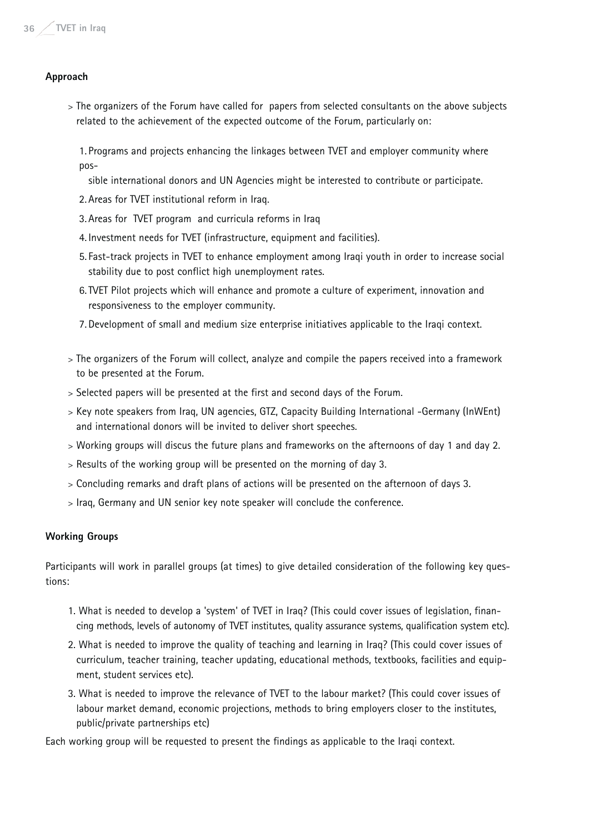#### **Approach**

- > The organizers of the Forum have called for papers from selected consultants on the above subjects related to the achievement of the expected outcome of the Forum, particularly on:
	- 1. Programs and projects enhancing the linkages between TVET and employer community where pos
		- sible international donors and UN Agencies might be interested to contribute or participate.
	- 2. Areas for TVET institutional reform in Iraq.
	- 3. Areas for TVET program and curricula reforms in Iraq
	- 4. Investment needs for TVET (infrastructure, equipment and facilities).
	- 5. Fast-track projects in TVET to enhance employment among Iraqi youth in order to increase social stability due to post conflict high unemployment rates.
	- 6. TVET Pilot projects which will enhance and promote a culture of experiment, innovation and responsiveness to the employer community.
	- 7. Development of small and medium size enterprise initiatives applicable to the Iraqi context.
- > The organizers of the Forum will collect, analyze and compile the papers received into a framework to be presented at the Forum.
- > Selected papers will be presented at the first and second days of the Forum.
- > Key note speakers from Iraq, UN agencies, GTZ, Capacity Building International -Germany (InWEnt) and international donors will be invited to deliver short speeches.
- > Working groups will discus the future plans and frameworks on the afternoons of day 1 and day 2.
- > Results of the working group will be presented on the morning of day 3.
- > Concluding remarks and draft plans of actions will be presented on the afternoon of days 3.
- > Iraq, Germany and UN senior key note speaker will conclude the conference.

#### **Working Groups**

Participants will work in parallel groups (at times) to give detailed consideration of the following key questions:

- 1. What is needed to develop a 'system' of TVET in Iraq? (This could cover issues of legislation, financing methods, levels of autonomy of TVET institutes, quality assurance systems, qualification system etc).
- 2. What is needed to improve the quality of teaching and learning in Iraq? (This could cover issues of curriculum, teacher training, teacher updating, educational methods, textbooks, facilities and equipment, student services etc).
- 3. What is needed to improve the relevance of TVET to the labour market? (This could cover issues of labour market demand, economic projections, methods to bring employers closer to the institutes, public/private partnerships etc)

Each working group will be requested to present the findings as applicable to the Iraqi context.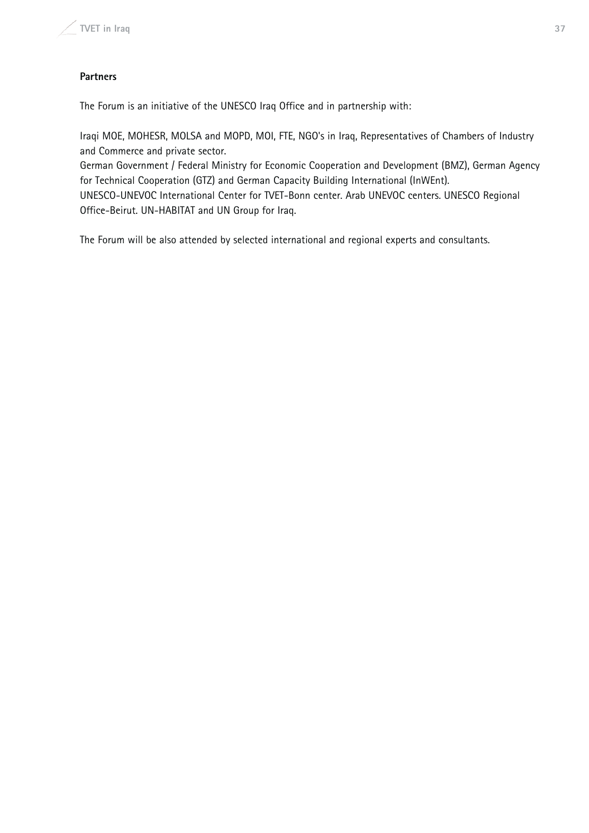#### **Partners**

The Forum is an initiative of the UNESCO Iraq Office and in partnership with:

Iraqi MOE, MOHESR, MOLSA and MOPD, MOI, FTE, NGO's in Iraq, Representatives of Chambers of Industry and Commerce and private sector.

German Government / Federal Ministry for Economic Cooperation and Development (BMZ), German Agency for Technical Cooperation (GTZ) and German Capacity Building International (InWEnt). UNESCO-UNEVOC International Center for TVET-Bonn center. Arab UNEVOC centers. UNESCO Regional Office-Beirut. UN-HABITAT and UN Group for Iraq.

The Forum will be also attended by selected international and regional experts and consultants.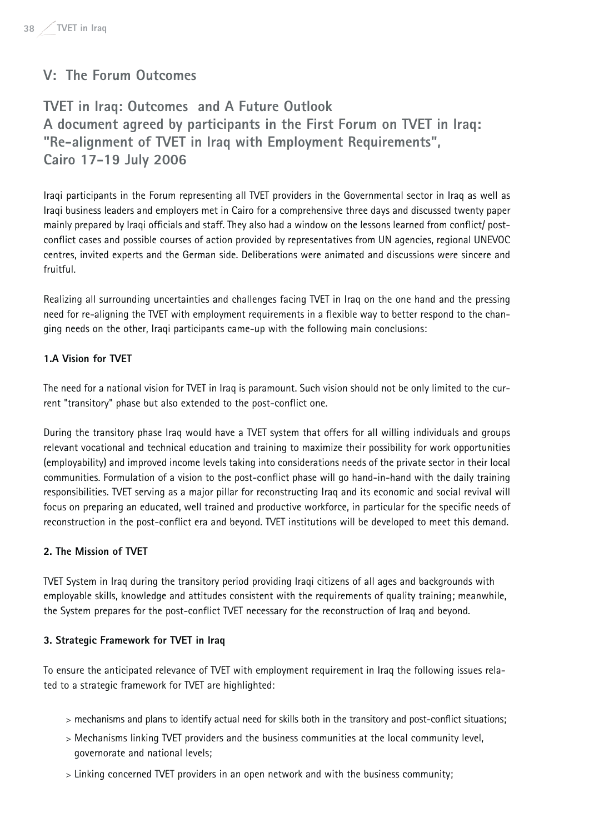# **V: The Forum Outcomes**

# **TVET in Iraq: Outcomes and A Future Outlook A document agreed by participants in the First Forum on TVET in Iraq: "Re-alignment of TVET in Iraq with Employment Requirements", Cairo 17-19 July 2006**

Iraqi participants in the Forum representing all TVET providers in the Governmental sector in Iraq as well as Iraqi business leaders and employers met in Cairo for a comprehensive three days and discussed twenty paper mainly prepared by Iraqi officials and staff. They also had a window on the lessons learned from conflict/ postconflict cases and possible courses of action provided by representatives from UN agencies, regional UNEVOC centres, invited experts and the German side. Deliberations were animated and discussions were sincere and fruitful.

Realizing all surrounding uncertainties and challenges facing TVET in Iraq on the one hand and the pressing need for re-aligning the TVET with employment requirements in a flexible way to better respond to the changing needs on the other, Iraqi participants came-up with the following main conclusions:

#### **1.A Vision for TVET**

The need for a national vision for TVET in Iraq is paramount. Such vision should not be only limited to the current "transitory" phase but also extended to the post-conflict one.

During the transitory phase Iraq would have a TVET system that offers for all willing individuals and groups relevant vocational and technical education and training to maximize their possibility for work opportunities (employability) and improved income levels taking into considerations needs of the private sector in their local communities. Formulation of a vision to the post-conflict phase will go hand-in-hand with the daily training responsibilities. TVET serving as a major pillar for reconstructing Iraq and its economic and social revival will focus on preparing an educated, well trained and productive workforce, in particular for the specific needs of reconstruction in the post-conflict era and beyond. TVET institutions will be developed to meet this demand.

#### **2. The Mission of TVET**

TVET System in Iraq during the transitory period providing Iraqi citizens of all ages and backgrounds with employable skills, knowledge and attitudes consistent with the requirements of quality training; meanwhile, the System prepares for the post-conflict TVET necessary for the reconstruction of Iraq and beyond.

#### **3. Strategic Framework for TVET in Iraq**

To ensure the anticipated relevance of TVET with employment requirement in Iraq the following issues related to a strategic framework for TVET are highlighted:

- > mechanisms and plans to identify actual need for skills both in the transitory and post-conflict situations;
- > Mechanisms linking TVET providers and the business communities at the local community level, governorate and national levels;
- > Linking concerned TVET providers in an open network and with the business community;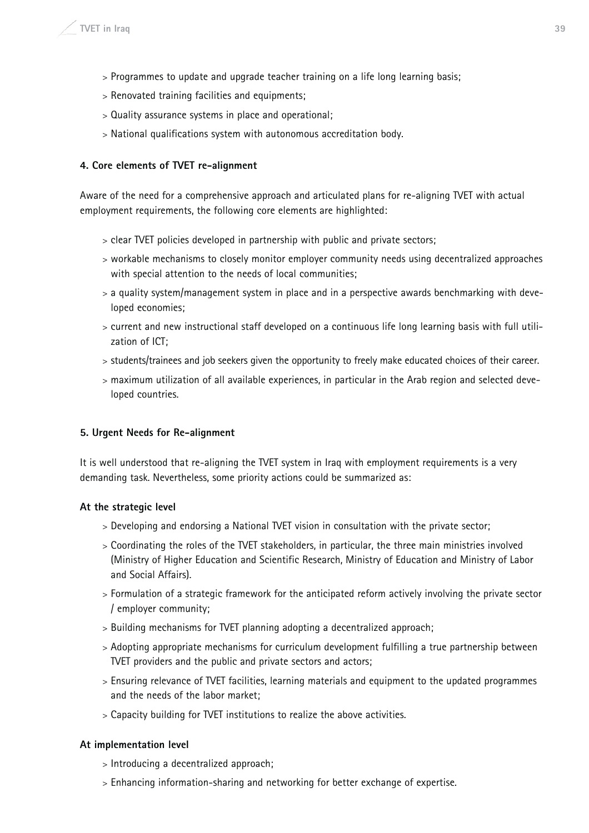- > Programmes to update and upgrade teacher training on a life long learning basis;
- > Renovated training facilities and equipments;
- > Quality assurance systems in place and operational;
- > National qualifications system with autonomous accreditation body.

#### **4. Core elements of TVET re-alignment**

Aware of the need for a comprehensive approach and articulated plans for re-aligning TVET with actual employment requirements, the following core elements are highlighted:

- > clear TVET policies developed in partnership with public and private sectors;
- > workable mechanisms to closely monitor employer community needs using decentralized approaches with special attention to the needs of local communities;
- > a quality system/management system in place and in a perspective awards benchmarking with developed economies;
- > current and new instructional staff developed on a continuous life long learning basis with full utilization of ICT;
- > students/trainees and job seekers given the opportunity to freely make educated choices of their career.
- > maximum utilization of all available experiences, in particular in the Arab region and selected developed countries.

#### **5. Urgent Needs for Re-alignment**

It is well understood that re-aligning the TVET system in Iraq with employment requirements is a very demanding task. Nevertheless, some priority actions could be summarized as:

#### **At the strategic level**

- > Developing and endorsing a National TVET vision in consultation with the private sector;
- > Coordinating the roles of the TVET stakeholders, in particular, the three main ministries involved (Ministry of Higher Education and Scientific Research, Ministry of Education and Ministry of Labor and Social Affairs).
- > Formulation of a strategic framework for the anticipated reform actively involving the private sector / employer community;
- > Building mechanisms for TVET planning adopting a decentralized approach;
- > Adopting appropriate mechanisms for curriculum development fulfilling a true partnership between TVET providers and the public and private sectors and actors;
- > Ensuring relevance of TVET facilities, learning materials and equipment to the updated programmes and the needs of the labor market;
- > Capacity building for TVET institutions to realize the above activities.

#### **At implementation level**

- > Introducing a decentralized approach;
- > Enhancing information-sharing and networking for better exchange of expertise.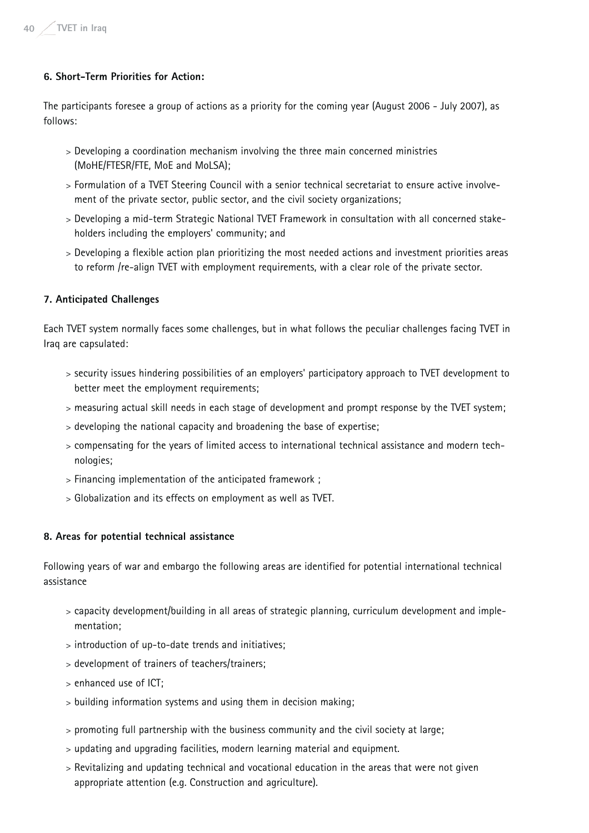#### **6. Short-Term Priorities for Action:**

The participants foresee a group of actions as a priority for the coming year (August 2006 - July 2007), as follows:

- > Developing a coordination mechanism involving the three main concerned ministries (MoHE/FTESR/FTE, MoE and MoLSA);
- > Formulation of a TVET Steering Council with a senior technical secretariat to ensure active involvement of the private sector, public sector, and the civil society organizations;
- > Developing a mid-term Strategic National TVET Framework in consultation with all concerned stakeholders including the employers' community; and
- > Developing a flexible action plan prioritizing the most needed actions and investment priorities areas to reform /re-align TVET with employment requirements, with a clear role of the private sector.

#### **7. Anticipated Challenges**

Each TVET system normally faces some challenges, but in what follows the peculiar challenges facing TVET in Iraq are capsulated:

- > security issues hindering possibilities of an employers' participatory approach to TVET development to better meet the employment requirements;
- > measuring actual skill needs in each stage of development and prompt response by the TVET system;
- > developing the national capacity and broadening the base of expertise;
- > compensating for the years of limited access to international technical assistance and modern technologies;
- > Financing implementation of the anticipated framework ;
- > Globalization and its effects on employment as well as TVET.

#### **8. Areas for potential technical assistance**

Following years of war and embargo the following areas are identified for potential international technical assistance

- > capacity development/building in all areas of strategic planning, curriculum development and implementation;
- > introduction of up-to-date trends and initiatives;
- > development of trainers of teachers/trainers;
- > enhanced use of ICT;
- > building information systems and using them in decision making;
- > promoting full partnership with the business community and the civil society at large;
- > updating and upgrading facilities, modern learning material and equipment.
- > Revitalizing and updating technical and vocational education in the areas that were not given appropriate attention (e.g. Construction and agriculture).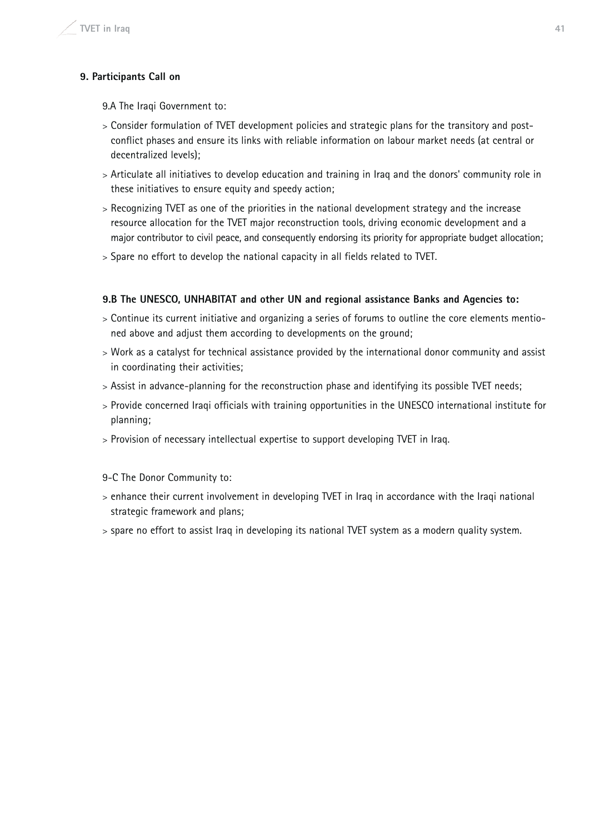#### **9. Participants Call on**

9.A The Iraqi Government to:

- > Consider formulation of TVET development policies and strategic plans for the transitory and postconflict phases and ensure its links with reliable information on labour market needs (at central or decentralized levels);
- > Articulate all initiatives to develop education and training in Iraq and the donors' community role in these initiatives to ensure equity and speedy action;
- > Recognizing TVET as one of the priorities in the national development strategy and the increase resource allocation for the TVET major reconstruction tools, driving economic development and a major contributor to civil peace, and consequently endorsing its priority for appropriate budget allocation;
- > Spare no effort to develop the national capacity in all fields related to TVET.

#### **9.B The UNESCO, UNHABITAT and other UN and regional assistance Banks and Agencies to:**

- > Continue its current initiative and organizing a series of forums to outline the core elements mentioned above and adjust them according to developments on the ground;
- > Work as a catalyst for technical assistance provided by the international donor community and assist in coordinating their activities;
- > Assist in advance-planning for the reconstruction phase and identifying its possible TVET needs;
- > Provide concerned Iraqi officials with training opportunities in the UNESCO international institute for planning;
- > Provision of necessary intellectual expertise to support developing TVET in Iraq.
- 9-C The Donor Community to:
- > enhance their current involvement in developing TVET in Iraq in accordance with the Iraqi national strategic framework and plans;
- > spare no effort to assist Iraq in developing its national TVET system as a modern quality system.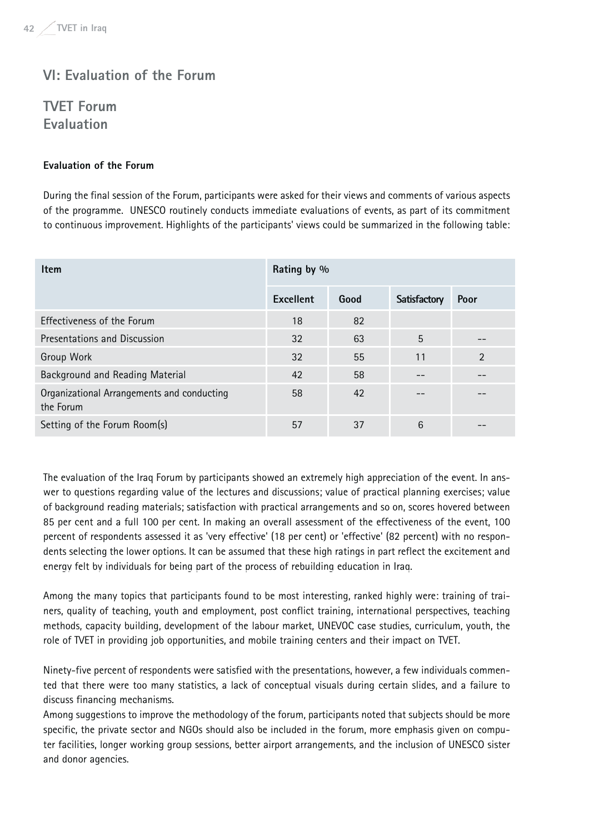# **VI: Evaluation of the Forum**

# **TVET Forum Evaluation**

#### **Evaluation of the Forum**

During the final session of the Forum, participants were asked for their views and comments of various aspects of the programme. UNESCO routinely conducts immediate evaluations of events, as part of its commitment to continuous improvement. Highlights of the participants' views could be summarized in the following table:

| <b>Item</b>                                             | Rating by %      |      |              |                |
|---------------------------------------------------------|------------------|------|--------------|----------------|
|                                                         | <b>Excellent</b> | Good | Satisfactory | Poor           |
| Effectiveness of the Forum                              | 18               | 82   |              |                |
| Presentations and Discussion                            | 32               | 63   | 5            |                |
| Group Work                                              | 32               | 55   | 11           | $\overline{2}$ |
| Background and Reading Material                         | 42               | 58   |              |                |
| Organizational Arrangements and conducting<br>the Forum | 58               | 42   |              |                |
| Setting of the Forum Room(s)                            | 57               | 37   | 6            |                |

The evaluation of the Iraq Forum by participants showed an extremely high appreciation of the event. In answer to questions regarding value of the lectures and discussions; value of practical planning exercises; value of background reading materials; satisfaction with practical arrangements and so on, scores hovered between 85 per cent and a full 100 per cent. In making an overall assessment of the effectiveness of the event, 100 percent of respondents assessed it as 'very effective' (18 per cent) or 'effective' (82 percent) with no respondents selecting the lower options. It can be assumed that these high ratings in part reflect the excitement and energy felt by individuals for being part of the process of rebuilding education in Iraq.

Among the many topics that participants found to be most interesting, ranked highly were: training of trainers, quality of teaching, youth and employment, post conflict training, international perspectives, teaching methods, capacity building, development of the labour market, UNEVOC case studies, curriculum, youth, the role of TVET in providing job opportunities, and mobile training centers and their impact on TVET.

Ninety-five percent of respondents were satisfied with the presentations, however, a few individuals commented that there were too many statistics, a lack of conceptual visuals during certain slides, and a failure to discuss financing mechanisms.

Among suggestions to improve the methodology of the forum, participants noted that subjects should be more specific, the private sector and NGOs should also be included in the forum, more emphasis given on computer facilities, longer working group sessions, better airport arrangements, and the inclusion of UNESCO sister and donor agencies.